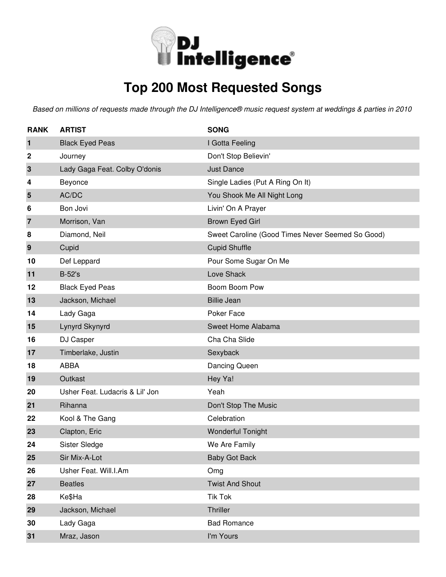

# **Top 200 Most Requested Songs**

| <b>RANK</b> | <b>ARTIST</b>                   | <b>SONG</b>                                      |
|-------------|---------------------------------|--------------------------------------------------|
| 1           | <b>Black Eyed Peas</b>          | I Gotta Feeling                                  |
| $\mathbf 2$ | Journey                         | Don't Stop Believin'                             |
| 3           | Lady Gaga Feat. Colby O'donis   | <b>Just Dance</b>                                |
| 4           | Beyonce                         | Single Ladies (Put A Ring On It)                 |
| 5           | AC/DC                           | You Shook Me All Night Long                      |
| 6           | Bon Jovi                        | Livin' On A Prayer                               |
| 7           | Morrison, Van                   | Brown Eyed Girl                                  |
| 8           | Diamond, Neil                   | Sweet Caroline (Good Times Never Seemed So Good) |
| 9           | Cupid                           | <b>Cupid Shuffle</b>                             |
| 10          | Def Leppard                     | Pour Some Sugar On Me                            |
| 11          | <b>B-52's</b>                   | Love Shack                                       |
| 12          | <b>Black Eyed Peas</b>          | Boom Boom Pow                                    |
| 13          | Jackson, Michael                | <b>Billie Jean</b>                               |
| 14          | Lady Gaga                       | Poker Face                                       |
| 15          | Lynyrd Skynyrd                  | Sweet Home Alabama                               |
| 16          | DJ Casper                       | Cha Cha Slide                                    |
| 17          | Timberlake, Justin              | Sexyback                                         |
| 18          | <b>ABBA</b>                     | Dancing Queen                                    |
| 19          | Outkast                         | Hey Ya!                                          |
| 20          | Usher Feat. Ludacris & Lil' Jon | Yeah                                             |
| 21          | Rihanna                         | Don't Stop The Music                             |
| 22          | Kool & The Gang                 | Celebration                                      |
| 23          | Clapton, Eric                   | <b>Wonderful Tonight</b>                         |
| 24          | Sister Sledge                   | We Are Family                                    |
| 25          | Sir Mix-A-Lot                   | <b>Baby Got Back</b>                             |
| 26          | Usher Feat. Will.I.Am           | Omg                                              |
| 27          | <b>Beatles</b>                  | <b>Twist And Shout</b>                           |
| 28          | Ke\$Ha                          | <b>Tik Tok</b>                                   |
| 29          | Jackson, Michael                | Thriller                                         |
| 30          | Lady Gaga                       | <b>Bad Romance</b>                               |
| 31          | Mraz, Jason                     | I'm Yours                                        |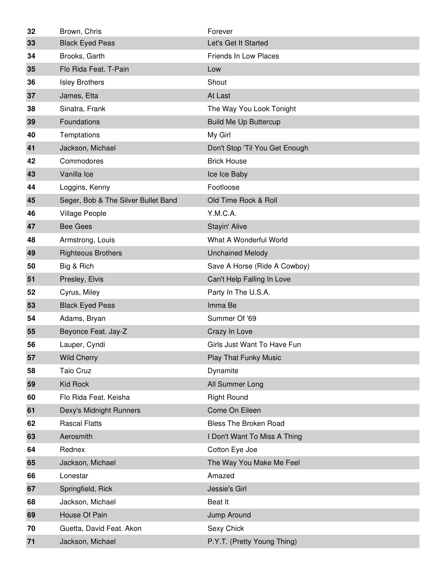| 32 | Brown, Chris                        | Forever                        |
|----|-------------------------------------|--------------------------------|
| 33 | <b>Black Eyed Peas</b>              | Let's Get It Started           |
| 34 | Brooks, Garth                       | Friends In Low Places          |
| 35 | Flo Rida Feat. T-Pain               | Low                            |
| 36 | <b>Isley Brothers</b>               | Shout                          |
| 37 | James, Etta                         | At Last                        |
| 38 | Sinatra, Frank                      | The Way You Look Tonight       |
| 39 | Foundations                         | <b>Build Me Up Buttercup</b>   |
| 40 | Temptations                         | My Girl                        |
| 41 | Jackson, Michael                    | Don't Stop 'Til You Get Enough |
| 42 | Commodores                          | <b>Brick House</b>             |
| 43 | Vanilla Ice                         | Ice Ice Baby                   |
| 44 | Loggins, Kenny                      | Footloose                      |
| 45 | Seger, Bob & The Silver Bullet Band | Old Time Rock & Roll           |
| 46 | <b>Village People</b>               | Y.M.C.A.                       |
| 47 | <b>Bee Gees</b>                     | Stayin' Alive                  |
| 48 | Armstrong, Louis                    | What A Wonderful World         |
| 49 | <b>Righteous Brothers</b>           | <b>Unchained Melody</b>        |
| 50 | Big & Rich                          | Save A Horse (Ride A Cowboy)   |
| 51 | Presley, Elvis                      | Can't Help Falling In Love     |
|    |                                     |                                |
| 52 | Cyrus, Miley                        | Party In The U.S.A.            |
| 53 | <b>Black Eyed Peas</b>              | Imma Be                        |
| 54 | Adams, Bryan                        | Summer Of '69                  |
| 55 | Beyonce Feat. Jay-Z                 | Crazy In Love                  |
| 56 | Lauper, Cyndi                       | Girls Just Want To Have Fun    |
| 57 | <b>Wild Cherry</b>                  | <b>Play That Funky Music</b>   |
| 58 | <b>Taio Cruz</b>                    | Dynamite                       |
| 59 | <b>Kid Rock</b>                     | All Summer Long                |
| 60 | Flo Rida Feat. Keisha               | <b>Right Round</b>             |
| 61 | Dexy's Midnight Runners             | Come On Eileen                 |
| 62 | <b>Rascal Flatts</b>                | <b>Bless The Broken Road</b>   |
| 63 | Aerosmith                           | I Don't Want To Miss A Thing   |
| 64 | Rednex                              | Cotton Eye Joe                 |
| 65 | Jackson, Michael                    | The Way You Make Me Feel       |
| 66 | Lonestar                            | Amazed                         |
| 67 | Springfield, Rick                   | Jessie's Girl                  |
| 68 | Jackson, Michael                    | Beat It                        |
| 69 | House Of Pain                       | Jump Around                    |
| 70 | Guetta, David Feat. Akon            | Sexy Chick                     |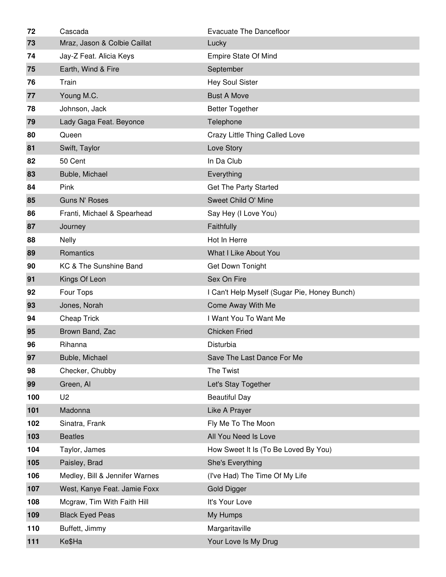| 72  | Cascada                        | <b>Evacuate The Dancefloor</b>               |
|-----|--------------------------------|----------------------------------------------|
| 73  | Mraz, Jason & Colbie Caillat   | Lucky                                        |
| 74  | Jay-Z Feat. Alicia Keys        | Empire State Of Mind                         |
| 75  | Earth, Wind & Fire             | September                                    |
| 76  | Train                          | <b>Hey Soul Sister</b>                       |
| 77  | Young M.C.                     | <b>Bust A Move</b>                           |
| 78  | Johnson, Jack                  | <b>Better Together</b>                       |
| 79  | Lady Gaga Feat. Beyonce        | Telephone                                    |
| 80  | Queen                          | Crazy Little Thing Called Love               |
| 81  | Swift, Taylor                  | Love Story                                   |
| 82  | 50 Cent                        | In Da Club                                   |
| 83  | Buble, Michael                 | Everything                                   |
| 84  | Pink                           | Get The Party Started                        |
| 85  | <b>Guns N' Roses</b>           | Sweet Child O' Mine                          |
| 86  | Franti, Michael & Spearhead    | Say Hey (I Love You)                         |
| 87  | Journey                        | Faithfully                                   |
| 88  | <b>Nelly</b>                   | Hot In Herre                                 |
| 89  | Romantics                      | What I Like About You                        |
| 90  | KC & The Sunshine Band         | Get Down Tonight                             |
| 91  | Kings Of Leon                  | Sex On Fire                                  |
| 92  | Four Tops                      | I Can't Help Myself (Sugar Pie, Honey Bunch) |
| 93  | Jones, Norah                   | Come Away With Me                            |
| 94  | <b>Cheap Trick</b>             | I Want You To Want Me                        |
| 95  | Brown Band, Zac                | <b>Chicken Fried</b>                         |
| 96  | Rihanna                        | Disturbia                                    |
| 97  | Buble, Michael                 | Save The Last Dance For Me                   |
| 98  | Checker, Chubby                | The Twist                                    |
| 99  | Green, Al                      | Let's Stay Together                          |
| 100 | U <sub>2</sub>                 | <b>Beautiful Day</b>                         |
| 101 | Madonna                        | Like A Prayer                                |
| 102 | Sinatra, Frank                 | Fly Me To The Moon                           |
| 103 | <b>Beatles</b>                 | All You Need Is Love                         |
| 104 | Taylor, James                  | How Sweet It Is (To Be Loved By You)         |
| 105 | Paisley, Brad                  | She's Everything                             |
| 106 | Medley, Bill & Jennifer Warnes | (I've Had) The Time Of My Life               |
| 107 | West, Kanye Feat. Jamie Foxx   | <b>Gold Digger</b>                           |
| 108 | Mcgraw, Tim With Faith Hill    | It's Your Love                               |
| 109 | <b>Black Eyed Peas</b>         | My Humps                                     |
| 110 | Buffett, Jimmy                 | Margaritaville                               |
| 111 | Ke\$Ha                         | Your Love Is My Drug                         |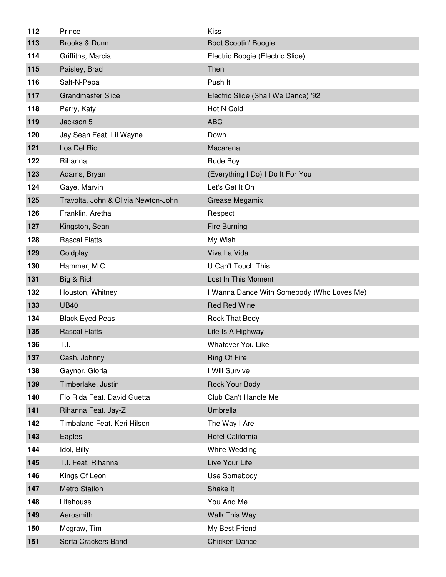| 112 | Prince                              | Kiss                                       |
|-----|-------------------------------------|--------------------------------------------|
| 113 | Brooks & Dunn                       | Boot Scootin' Boogie                       |
| 114 | Griffiths, Marcia                   | Electric Boogie (Electric Slide)           |
| 115 | Paisley, Brad                       | Then                                       |
| 116 | Salt-N-Pepa                         | Push It                                    |
| 117 | <b>Grandmaster Slice</b>            | Electric Slide (Shall We Dance) '92        |
| 118 | Perry, Katy                         | Hot N Cold                                 |
| 119 | Jackson 5                           | <b>ABC</b>                                 |
| 120 | Jay Sean Feat. Lil Wayne            | Down                                       |
| 121 | Los Del Rio                         | Macarena                                   |
| 122 | Rihanna                             | Rude Boy                                   |
| 123 | Adams, Bryan                        | (Everything I Do) I Do It For You          |
| 124 | Gaye, Marvin                        | Let's Get It On                            |
| 125 | Travolta, John & Olivia Newton-John | Grease Megamix                             |
| 126 | Franklin, Aretha                    | Respect                                    |
| 127 | Kingston, Sean                      | Fire Burning                               |
| 128 | <b>Rascal Flatts</b>                | My Wish                                    |
| 129 | Coldplay                            | Viva La Vida                               |
| 130 | Hammer, M.C.                        | U Can't Touch This                         |
| 131 | Big & Rich                          | Lost In This Moment                        |
|     |                                     |                                            |
| 132 | Houston, Whitney                    | I Wanna Dance With Somebody (Who Loves Me) |
| 133 | <b>UB40</b>                         | <b>Red Red Wine</b>                        |
| 134 | <b>Black Eyed Peas</b>              | Rock That Body                             |
| 135 | <b>Rascal Flatts</b>                | Life Is A Highway                          |
| 136 | T.I.                                | <b>Whatever You Like</b>                   |
| 137 | Cash, Johnny                        | <b>Ring Of Fire</b>                        |
| 138 | Gaynor, Gloria                      | I Will Survive                             |
| 139 | Timberlake, Justin                  | Rock Your Body                             |
| 140 | Flo Rida Feat. David Guetta         | Club Can't Handle Me                       |
| 141 | Rihanna Feat. Jay-Z                 | Umbrella                                   |
| 142 | Timbaland Feat. Keri Hilson         | The Way I Are                              |
| 143 | Eagles                              | Hotel California                           |
| 144 | Idol, Billy                         | White Wedding                              |
| 145 | T.I. Feat. Rihanna                  | Live Your Life                             |
| 146 | Kings Of Leon                       | Use Somebody                               |
| 147 | <b>Metro Station</b>                | Shake It                                   |
| 148 | Lifehouse                           | You And Me                                 |
| 149 | Aerosmith                           | Walk This Way                              |
| 150 | Mcgraw, Tim                         | My Best Friend                             |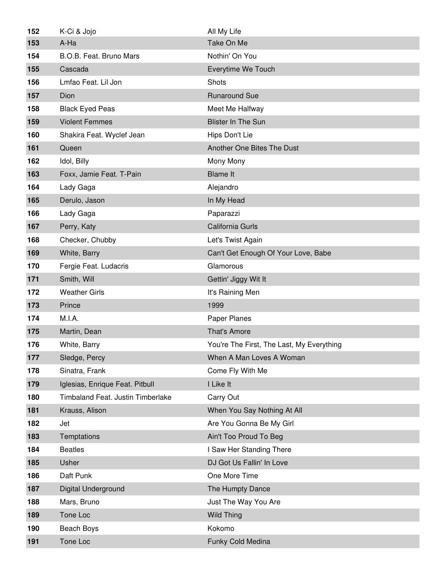| 152 | K-Ci & Jojo                       | All My Life                               |
|-----|-----------------------------------|-------------------------------------------|
| 153 | A-Ha                              | Take On Me                                |
| 154 | B.O.B. Feat. Bruno Mars           | Nothin' On You                            |
| 155 | Cascada                           | Everytime We Touch                        |
| 156 | Lmfao Feat. Lil Jon               | Shots                                     |
| 157 | Dion                              | <b>Runaround Sue</b>                      |
| 158 | <b>Black Eyed Peas</b>            | Meet Me Halfway                           |
| 159 | <b>Violent Femmes</b>             | <b>Blister In The Sun</b>                 |
| 160 | Shakira Feat. Wyclef Jean         | Hips Don't Lie                            |
| 161 | Queen                             | Another One Bites The Dust                |
| 162 | Idol, Billy                       | Mony Mony                                 |
| 163 | Foxx, Jamie Feat. T-Pain          | <b>Blame It</b>                           |
| 164 | Lady Gaga                         | Alejandro                                 |
| 165 | Derulo, Jason                     | In My Head                                |
| 166 | Lady Gaga                         | Paparazzi                                 |
| 167 | Perry, Katy                       | California Gurls                          |
| 168 | Checker, Chubby                   | Let's Twist Again                         |
| 169 | White, Barry                      | Can't Get Enough Of Your Love, Babe       |
| 170 | Fergie Feat. Ludacris             | Glamorous                                 |
| 171 | Smith, Will                       | Gettin' Jiggy Wit It                      |
|     |                                   |                                           |
| 172 | <b>Weather Girls</b>              | It's Raining Men                          |
| 173 | Prince                            | 1999                                      |
| 174 | M.I.A.                            | Paper Planes                              |
| 175 | Martin, Dean                      | <b>That's Amore</b>                       |
| 176 | White, Barry                      | You're The First, The Last, My Everything |
| 177 | Sledge, Percy                     | When A Man Loves A Woman                  |
| 178 | Sinatra, Frank                    | Come Fly With Me                          |
| 179 | Iglesias, Enrique Feat. Pitbull   | I Like It                                 |
| 180 | Timbaland Feat. Justin Timberlake | Carry Out                                 |
| 181 | Krauss, Alison                    | When You Say Nothing At All               |
| 182 | Jet                               | Are You Gonna Be My Girl                  |
| 183 | Temptations                       | Ain't Too Proud To Beg                    |
| 184 | <b>Beatles</b>                    | I Saw Her Standing There                  |
| 185 | Usher                             | DJ Got Us Fallin' In Love                 |
| 186 | Daft Punk                         | One More Time                             |
| 187 | Digital Underground               | The Humpty Dance                          |
| 188 | Mars, Bruno                       | Just The Way You Are                      |
| 189 | Tone Loc                          | <b>Wild Thing</b>                         |
| 190 | Beach Boys                        | Kokomo                                    |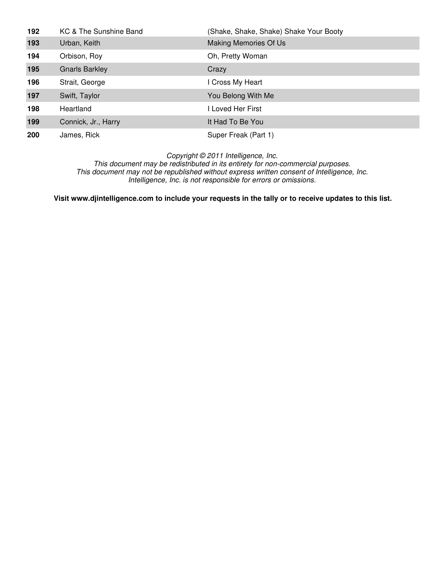| 192 | KC & The Sunshine Band | (Shake, Shake, Shake) Shake Your Booty |
|-----|------------------------|----------------------------------------|
| 193 | Urban, Keith           | Making Memories Of Us                  |
| 194 | Orbison, Roy           | Oh, Pretty Woman                       |
| 195 | <b>Gnarls Barkley</b>  | Crazy                                  |
| 196 | Strait, George         | I Cross My Heart                       |
| 197 | Swift, Taylor          | You Belong With Me                     |
| 198 | Heartland              | I Loved Her First                      |
| 199 | Connick, Jr., Harry    | It Had To Be You                       |
| 200 | James, Rick            | Super Freak (Part 1)                   |

This document may be redistributed in its entirety for non-commercial purposes. This document may not be republished without express written consent of Intelligence, Inc. Intelligence, Inc. is not responsible for errors or omissions.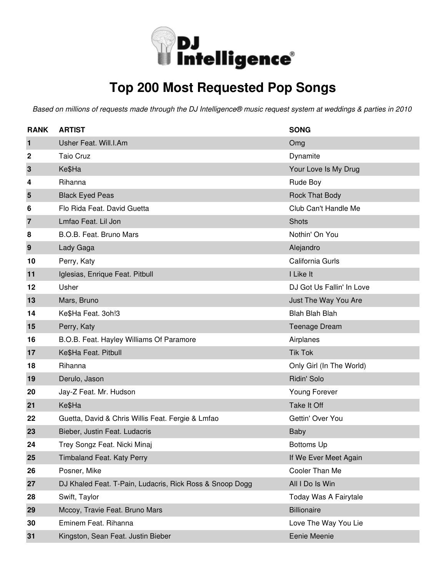

### **Top 200 Most Requested Pop Songs**

| <b>RANK</b>    | <b>ARTIST</b>                                            | <b>SONG</b>               |
|----------------|----------------------------------------------------------|---------------------------|
| 1              | Usher Feat. Will.I.Am                                    | Omg                       |
| 2              | <b>Taio Cruz</b>                                         | Dynamite                  |
| 3              | Ke\$Ha                                                   | Your Love Is My Drug      |
| 4              | Rihanna                                                  | Rude Boy                  |
| 5              | <b>Black Eyed Peas</b>                                   | <b>Rock That Body</b>     |
| 6              | Flo Rida Feat. David Guetta                              | Club Can't Handle Me      |
| $\overline{7}$ | Lmfao Feat. Lil Jon                                      | Shots                     |
| 8              | B.O.B. Feat. Bruno Mars                                  | Nothin' On You            |
| 9              | Lady Gaga                                                | Alejandro                 |
| 10             | Perry, Katy                                              | California Gurls          |
| 11             | Iglesias, Enrique Feat. Pitbull                          | I Like It                 |
| 12             | Usher                                                    | DJ Got Us Fallin' In Love |
| 13             | Mars, Bruno                                              | Just The Way You Are      |
| 14             | Ke\$Ha Feat. 3oh!3                                       | <b>Blah Blah Blah</b>     |
| 15             | Perry, Katy                                              | <b>Teenage Dream</b>      |
| 16             | B.O.B. Feat. Hayley Williams Of Paramore                 | Airplanes                 |
| 17             | Ke\$Ha Feat. Pitbull                                     | <b>Tik Tok</b>            |
| 18             | Rihanna                                                  | Only Girl (In The World)  |
| 19             | Derulo, Jason                                            | Ridin' Solo               |
| 20             | Jay-Z Feat. Mr. Hudson                                   | Young Forever             |
| 21             | Ke\$Ha                                                   | Take It Off               |
| 22             | Guetta, David & Chris Willis Feat. Fergie & Lmfao        | Gettin' Over You          |
| 23             | Bieber, Justin Feat. Ludacris                            | <b>Baby</b>               |
| 24             | Trey Songz Feat. Nicki Minaj                             | <b>Bottoms Up</b>         |
| 25             | <b>Timbaland Feat. Katy Perry</b>                        | If We Ever Meet Again     |
| 26             | Posner, Mike                                             | Cooler Than Me            |
| 27             | DJ Khaled Feat. T-Pain, Ludacris, Rick Ross & Snoop Dogg | All I Do Is Win           |
| 28             | Swift, Taylor                                            | Today Was A Fairytale     |
| 29             | Mccoy, Travie Feat. Bruno Mars                           | <b>Billionaire</b>        |
| 30             | Eminem Feat. Rihanna                                     | Love The Way You Lie      |
| 31             | Kingston, Sean Feat. Justin Bieber                       | Eenie Meenie              |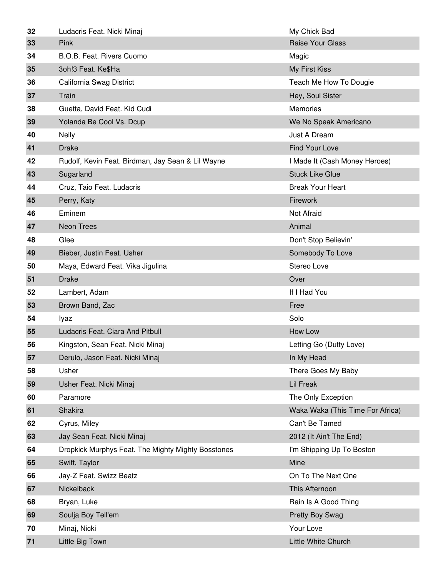| 32 | Ludacris Feat. Nicki Minaj                         | My Chick Bad                     |
|----|----------------------------------------------------|----------------------------------|
| 33 | Pink                                               | <b>Raise Your Glass</b>          |
| 34 | B.O.B. Feat. Rivers Cuomo                          | Magic                            |
| 35 | 3oh!3 Feat. Ke\$Ha                                 | My First Kiss                    |
| 36 | California Swag District                           | Teach Me How To Dougie           |
| 37 | Train                                              | Hey, Soul Sister                 |
| 38 | Guetta, David Feat. Kid Cudi                       | <b>Memories</b>                  |
| 39 | Yolanda Be Cool Vs. Dcup                           | We No Speak Americano            |
| 40 | <b>Nelly</b>                                       | Just A Dream                     |
| 41 | <b>Drake</b>                                       | Find Your Love                   |
| 42 | Rudolf, Kevin Feat. Birdman, Jay Sean & Lil Wayne  | I Made It (Cash Money Heroes)    |
| 43 | Sugarland                                          | <b>Stuck Like Glue</b>           |
| 44 | Cruz, Taio Feat. Ludacris                          | <b>Break Your Heart</b>          |
| 45 | Perry, Katy                                        | Firework                         |
| 46 | Eminem                                             | Not Afraid                       |
| 47 | <b>Neon Trees</b>                                  | Animal                           |
| 48 | Glee                                               | Don't Stop Believin'             |
| 49 | Bieber, Justin Feat. Usher                         | Somebody To Love                 |
| 50 | Maya, Edward Feat. Vika Jigulina                   | Stereo Love                      |
| 51 | <b>Drake</b>                                       | Over                             |
| 52 | Lambert, Adam                                      | If I Had You                     |
| 53 | Brown Band, Zac                                    | Free                             |
| 54 | lyaz                                               | Solo                             |
| 55 | Ludacris Feat. Ciara And Pitbull                   | How Low                          |
| 56 | Kingston, Sean Feat. Nicki Minaj                   | Letting Go (Dutty Love)          |
| 57 | Derulo, Jason Feat. Nicki Minaj                    | In My Head                       |
| 58 | Usher                                              | There Goes My Baby               |
| 59 | Usher Feat. Nicki Minaj                            | <b>Lil Freak</b>                 |
| 60 | Paramore                                           | The Only Exception               |
| 61 | Shakira                                            | Waka Waka (This Time For Africa) |
| 62 | Cyrus, Miley                                       | Can't Be Tamed                   |
| 63 | Jay Sean Feat. Nicki Minaj                         | 2012 (It Ain't The End)          |
| 64 | Dropkick Murphys Feat. The Mighty Mighty Bosstones | I'm Shipping Up To Boston        |
| 65 | Swift, Taylor                                      | Mine                             |
| 66 | Jay-Z Feat. Swizz Beatz                            | On To The Next One               |
| 67 | Nickelback                                         | This Afternoon                   |
| 68 | Bryan, Luke                                        | Rain Is A Good Thing             |
| 69 | Soulja Boy Tell'em                                 | <b>Pretty Boy Swag</b>           |
| 70 | Minaj, Nicki                                       | Your Love                        |
| 71 | Little Big Town                                    | Little White Church              |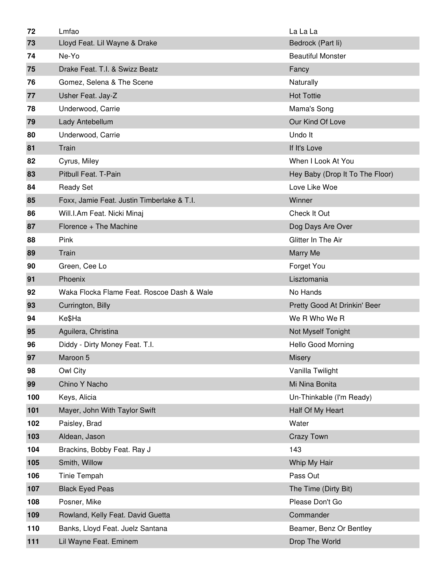| 72  | Lmfao                                      | La La La                                  |
|-----|--------------------------------------------|-------------------------------------------|
| 73  | Lloyd Feat. Lil Wayne & Drake              | Bedrock (Part li)                         |
| 74  | Ne-Yo                                      | <b>Beautiful Monster</b>                  |
| 75  | Drake Feat. T.I. & Swizz Beatz             | Fancy                                     |
| 76  | Gomez, Selena & The Scene                  | Naturally                                 |
| 77  | Usher Feat. Jay-Z                          | <b>Hot Tottie</b>                         |
| 78  | Underwood, Carrie                          | Mama's Song                               |
| 79  | Lady Antebellum                            | Our Kind Of Love                          |
| 80  | Underwood, Carrie                          | Undo It                                   |
| 81  | Train                                      | If It's Love                              |
| 82  | Cyrus, Miley                               | When I Look At You                        |
| 83  | Pitbull Feat. T-Pain                       | Hey Baby (Drop It To The Floor)           |
| 84  | <b>Ready Set</b>                           | Love Like Woe                             |
| 85  | Foxx, Jamie Feat. Justin Timberlake & T.I. | Winner                                    |
| 86  | Will.I.Am Feat. Nicki Minaj                | Check It Out                              |
| 87  | Florence + The Machine                     | Dog Days Are Over                         |
| 88  | Pink                                       | Glitter In The Air                        |
| 89  | Train                                      | Marry Me                                  |
| 90  | Green, Cee Lo                              | Forget You                                |
| 91  | Phoenix                                    | Lisztomania                               |
|     |                                            |                                           |
| 92  | Waka Flocka Flame Feat. Roscoe Dash & Wale | No Hands                                  |
| 93  | Currington, Billy                          | Pretty Good At Drinkin' Beer              |
| 94  | Ke\$Ha                                     | We R Who We R                             |
| 95  | Aguilera, Christina                        | Not Myself Tonight                        |
| 96  | Diddy - Dirty Money Feat. T.I.             | <b>Hello Good Morning</b>                 |
| 97  | Maroon 5                                   | <b>Misery</b>                             |
| 98  | Owl City                                   | Vanilla Twilight                          |
| 99  | Chino Y Nacho                              | Mi Nina Bonita                            |
| 100 | Keys, Alicia                               | Un-Thinkable (I'm Ready)                  |
| 101 | Mayer, John With Taylor Swift              | Half Of My Heart                          |
| 102 | Paisley, Brad                              | Water                                     |
| 103 | Aldean, Jason                              | <b>Crazy Town</b>                         |
| 104 | Brackins, Bobby Feat. Ray J                | 143                                       |
| 105 | Smith, Willow                              | Whip My Hair                              |
| 106 | Tinie Tempah                               | Pass Out                                  |
| 107 | <b>Black Eyed Peas</b>                     | The Time (Dirty Bit)                      |
| 108 | Posner, Mike                               | Please Don't Go                           |
| 109 | Rowland, Kelly Feat. David Guetta          | Commander                                 |
| 110 | Banks, Lloyd Feat. Juelz Santana           | Beamer, Benz Or Bentley<br>Drop The World |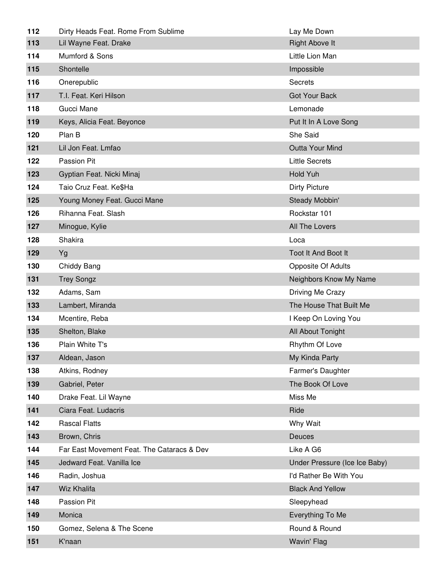| 112 | Dirty Heads Feat. Rome From Sublime        | Lay Me Down                   |
|-----|--------------------------------------------|-------------------------------|
| 113 | Lil Wayne Feat. Drake                      | <b>Right Above It</b>         |
| 114 | Mumford & Sons                             | Little Lion Man               |
| 115 | Shontelle                                  | Impossible                    |
| 116 | Onerepublic                                | <b>Secrets</b>                |
| 117 | T.I. Feat. Keri Hilson                     | <b>Got Your Back</b>          |
| 118 | Gucci Mane                                 | Lemonade                      |
| 119 | Keys, Alicia Feat. Beyonce                 | Put It In A Love Song         |
| 120 | Plan B                                     | She Said                      |
| 121 | Lil Jon Feat. Lmfao                        | Outta Your Mind               |
| 122 | Passion Pit                                | <b>Little Secrets</b>         |
| 123 | Gyptian Feat. Nicki Minaj                  | Hold Yuh                      |
| 124 | Taio Cruz Feat. Ke\$Ha                     | <b>Dirty Picture</b>          |
| 125 | Young Money Feat. Gucci Mane               | Steady Mobbin'                |
| 126 | Rihanna Feat. Slash                        | Rockstar 101                  |
| 127 | Minogue, Kylie                             | All The Lovers                |
| 128 | Shakira                                    | Loca                          |
| 129 | Yg                                         | Toot It And Boot It           |
| 130 | Chiddy Bang                                | Opposite Of Adults            |
| 131 | <b>Trey Songz</b>                          | Neighbors Know My Name        |
| 132 | Adams, Sam                                 | Driving Me Crazy              |
| 133 | Lambert, Miranda                           | The House That Built Me       |
| 134 | Mcentire, Reba                             | I Keep On Loving You          |
| 135 | Shelton, Blake                             | All About Tonight             |
| 136 | Plain White T's                            | Rhythm Of Love                |
| 137 | Aldean, Jason                              | My Kinda Party                |
| 138 | Atkins, Rodney                             | Farmer's Daughter             |
| 139 | Gabriel, Peter                             | The Book Of Love              |
| 140 | Drake Feat. Lil Wayne                      | Miss Me                       |
| 141 | Ciara Feat. Ludacris                       | Ride                          |
| 142 | <b>Rascal Flatts</b>                       | Why Wait                      |
| 143 | Brown, Chris                               | Deuces                        |
| 144 | Far East Movement Feat. The Cataracs & Dev | Like A G6                     |
| 145 | Jedward Feat. Vanilla Ice                  | Under Pressure (Ice Ice Baby) |
| 146 | Radin, Joshua                              | I'd Rather Be With You        |
| 147 | Wiz Khalifa                                | <b>Black And Yellow</b>       |
| 148 | Passion Pit                                | Sleepyhead                    |
| 149 | Monica                                     | Everything To Me              |
| 150 | Gomez, Selena & The Scene                  | Round & Round                 |
| 151 | K'naan                                     | Wavin' Flag                   |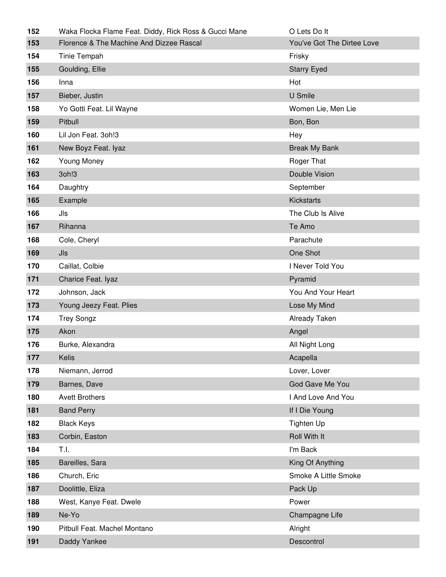| 152 | Waka Flocka Flame Feat. Diddy, Rick Ross & Gucci Mane | O Lets Do It               |
|-----|-------------------------------------------------------|----------------------------|
| 153 | Florence & The Machine And Dizzee Rascal              | You've Got The Dirtee Love |
| 154 | Tinie Tempah                                          | Frisky                     |
| 155 | Goulding, Ellie                                       | <b>Starry Eyed</b>         |
| 156 | Inna                                                  | Hot                        |
| 157 | Bieber, Justin                                        | U Smile                    |
| 158 | Yo Gotti Feat. Lil Wayne                              | Women Lie, Men Lie         |
| 159 | Pitbull                                               | Bon, Bon                   |
| 160 | Lil Jon Feat. 3oh!3                                   | Hey                        |
| 161 | New Boyz Feat. Iyaz                                   | <b>Break My Bank</b>       |
| 162 | Young Money                                           | Roger That                 |
| 163 | 3oh!3                                                 | Double Vision              |
| 164 | Daughtry                                              | September                  |
| 165 | Example                                               | <b>Kickstarts</b>          |
| 166 | Jls                                                   | The Club Is Alive          |
| 167 | Rihanna                                               | Te Amo                     |
| 168 | Cole, Cheryl                                          | Parachute                  |
| 169 | Jls                                                   | One Shot                   |
| 170 | Caillat, Colbie                                       | I Never Told You           |
| 171 | Charice Feat. Iyaz                                    | Pyramid                    |
| 172 | Johnson, Jack                                         | You And Your Heart         |
| 173 | Young Jeezy Feat. Plies                               | Lose My Mind               |
| 174 | <b>Trey Songz</b>                                     | Already Taken              |
| 175 | Akon                                                  | Angel                      |
| 176 | Burke, Alexandra                                      | All Night Long             |
| 177 | Kelis                                                 | Acapella                   |
| 178 | Niemann, Jerrod                                       | Lover, Lover               |
| 179 | Barnes, Dave                                          | God Gave Me You            |
| 180 | <b>Avett Brothers</b>                                 |                            |
| 181 |                                                       | I And Love And You         |
|     | <b>Band Perry</b>                                     | If I Die Young             |
| 182 | <b>Black Keys</b>                                     | <b>Tighten Up</b>          |
| 183 | Corbin, Easton                                        | Roll With It               |
| 184 | T.I.                                                  | I'm Back                   |
| 185 | Bareilles, Sara                                       | King Of Anything           |
| 186 | Church, Eric                                          | Smoke A Little Smoke       |
| 187 | Doolittle, Eliza                                      | Pack Up                    |
| 188 | West, Kanye Feat. Dwele                               | Power                      |
| 189 | Ne-Yo                                                 | Champagne Life             |
| 190 | Pitbull Feat. Machel Montano                          | Alright                    |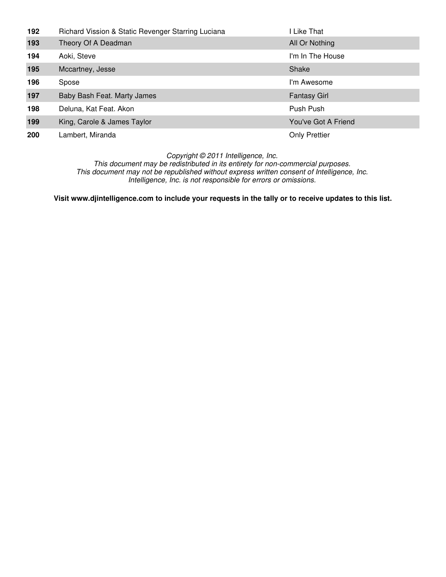| 192        | Richard Vission & Static Revenger Starring Luciana | I Like That          |
|------------|----------------------------------------------------|----------------------|
| 193        | Theory Of A Deadman                                | All Or Nothing       |
| 194        | Aoki, Steve                                        | I'm In The House     |
| 195        | Mccartney, Jesse                                   | Shake                |
| 196        | Spose                                              | I'm Awesome          |
| 197        | Baby Bash Feat. Marty James                        | <b>Fantasy Girl</b>  |
| 198        | Deluna, Kat Feat. Akon                             | Push Push            |
| 199        | King, Carole & James Taylor                        | You've Got A Friend  |
| <b>200</b> | Lambert, Miranda                                   | <b>Only Prettier</b> |

This document may be redistributed in its entirety for non-commercial purposes. This document may not be republished without express written consent of Intelligence, Inc. Intelligence, Inc. is not responsible for errors or omissions.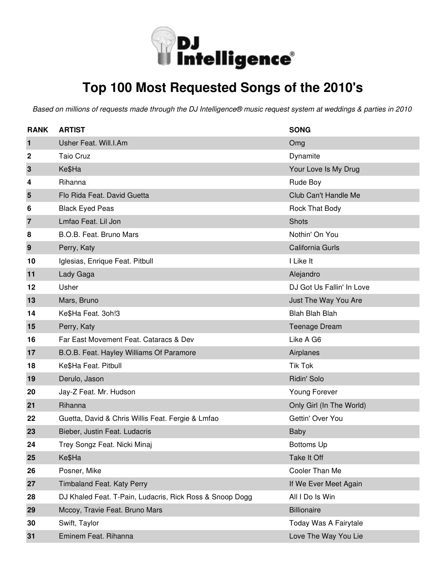

# **Top 100 Most Requested Songs of the 2010's**

| <b>RANK</b>    | <b>ARTIST</b>                                            | <b>SONG</b>               |
|----------------|----------------------------------------------------------|---------------------------|
| 1              | Usher Feat. Will.I.Am                                    | Omg                       |
| 2              | <b>Taio Cruz</b>                                         | Dynamite                  |
| $\mathbf{3}$   | Ke\$Ha                                                   | Your Love Is My Drug      |
| 4              | Rihanna                                                  | Rude Boy                  |
| 5              | Flo Rida Feat. David Guetta                              | Club Can't Handle Me      |
| 6              | <b>Black Eyed Peas</b>                                   | <b>Rock That Body</b>     |
| $\overline{7}$ | Lmfao Feat. Lil Jon                                      | Shots                     |
| 8              | B.O.B. Feat. Bruno Mars                                  | Nothin' On You            |
| 9              | Perry, Katy                                              | California Gurls          |
| 10             | Iglesias, Enrique Feat. Pitbull                          | I Like It                 |
| 11             | Lady Gaga                                                | Alejandro                 |
| 12             | Usher                                                    | DJ Got Us Fallin' In Love |
| 13             | Mars, Bruno                                              | Just The Way You Are      |
| 14             | Ke\$Ha Feat. 3oh!3                                       | <b>Blah Blah Blah</b>     |
| 15             | Perry, Katy                                              | <b>Teenage Dream</b>      |
| 16             | Far East Movement Feat. Cataracs & Dev                   | Like A G6                 |
| 17             | B.O.B. Feat. Hayley Williams Of Paramore                 | Airplanes                 |
| 18             | Ke\$Ha Feat. Pitbull                                     | <b>Tik Tok</b>            |
| 19             | Derulo, Jason                                            | Ridin' Solo               |
| 20             | Jay-Z Feat. Mr. Hudson                                   | Young Forever             |
| 21             | Rihanna                                                  | Only Girl (In The World)  |
| 22             | Guetta, David & Chris Willis Feat. Fergie & Lmfao        | Gettin' Over You          |
| 23             | Bieber, Justin Feat. Ludacris                            | <b>Baby</b>               |
| 24             | Trey Songz Feat. Nicki Minaj                             | <b>Bottoms Up</b>         |
| 25             | Ke\$Ha                                                   | Take It Off               |
| 26             | Posner, Mike                                             | Cooler Than Me            |
| 27             | Timbaland Feat. Katy Perry                               | If We Ever Meet Again     |
| 28             | DJ Khaled Feat. T-Pain, Ludacris, Rick Ross & Snoop Dogg | All I Do Is Win           |
| 29             | Mccoy, Travie Feat. Bruno Mars                           | <b>Billionaire</b>        |
| 30             | Swift, Taylor                                            | Today Was A Fairytale     |
| 31             | Eminem Feat. Rihanna                                     | Love The Way You Lie      |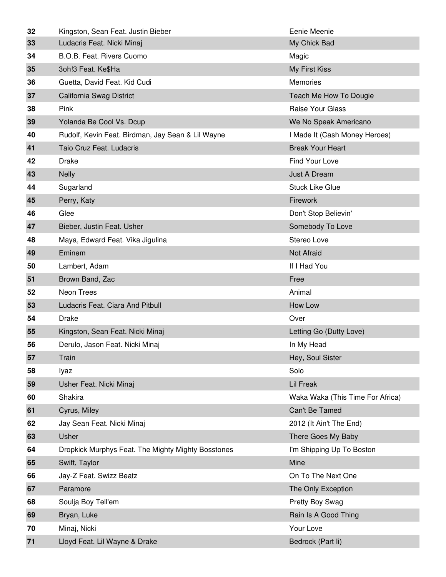| 32 | Kingston, Sean Feat. Justin Bieber                 | Eenie Meenie                     |
|----|----------------------------------------------------|----------------------------------|
| 33 | Ludacris Feat. Nicki Minaj                         | My Chick Bad                     |
| 34 | B.O.B. Feat. Rivers Cuomo                          | Magic                            |
| 35 | 3oh!3 Feat. Ke\$Ha                                 | My First Kiss                    |
| 36 | Guetta, David Feat. Kid Cudi                       | Memories                         |
| 37 | California Swag District                           | Teach Me How To Dougie           |
| 38 | Pink                                               | Raise Your Glass                 |
| 39 | Yolanda Be Cool Vs. Dcup                           | We No Speak Americano            |
| 40 | Rudolf, Kevin Feat. Birdman, Jay Sean & Lil Wayne  | I Made It (Cash Money Heroes)    |
| 41 | Taio Cruz Feat. Ludacris                           | <b>Break Your Heart</b>          |
| 42 | <b>Drake</b>                                       | Find Your Love                   |
| 43 | <b>Nelly</b>                                       | <b>Just A Dream</b>              |
| 44 | Sugarland                                          | <b>Stuck Like Glue</b>           |
| 45 | Perry, Katy                                        | Firework                         |
| 46 | Glee                                               | Don't Stop Believin'             |
| 47 | Bieber, Justin Feat. Usher                         | Somebody To Love                 |
| 48 | Maya, Edward Feat. Vika Jigulina                   | Stereo Love                      |
| 49 | Eminem                                             | Not Afraid                       |
| 50 | Lambert, Adam                                      | If I Had You                     |
| 51 | Brown Band, Zac                                    | Free                             |
| 52 | Neon Trees                                         | Animal                           |
| 53 | Ludacris Feat. Ciara And Pitbull                   | How Low                          |
| 54 | <b>Drake</b>                                       | Over                             |
| 55 | Kingston, Sean Feat. Nicki Minaj                   | Letting Go (Dutty Love)          |
| 56 | Derulo, Jason Feat. Nicki Minaj                    | In My Head                       |
| 57 | Train                                              | Hey, Soul Sister                 |
| 58 | lyaz                                               | Solo                             |
| 59 | Usher Feat. Nicki Minaj                            | <b>Lil Freak</b>                 |
| 60 | Shakira                                            | Waka Waka (This Time For Africa) |
| 61 |                                                    |                                  |
| 62 | Cyrus, Miley                                       | Can't Be Tamed                   |
|    | Jay Sean Feat. Nicki Minaj                         | 2012 (It Ain't The End)          |
| 63 | Usher                                              | There Goes My Baby               |
| 64 | Dropkick Murphys Feat. The Mighty Mighty Bosstones | I'm Shipping Up To Boston        |
| 65 | Swift, Taylor                                      | Mine                             |
| 66 | Jay-Z Feat. Swizz Beatz                            | On To The Next One               |
| 67 | Paramore                                           | The Only Exception               |
| 68 | Soulja Boy Tell'em                                 | Pretty Boy Swag                  |
| 69 | Bryan, Luke                                        | Rain Is A Good Thing             |
| 70 | Minaj, Nicki                                       | Your Love                        |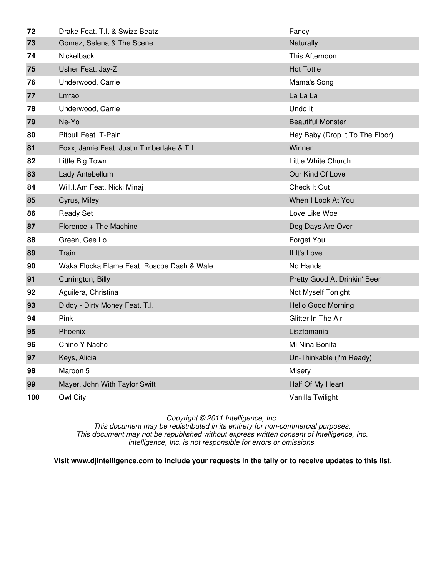| 72  | Drake Feat. T.I. & Swizz Beatz             | Fancy                           |
|-----|--------------------------------------------|---------------------------------|
| 73  | Gomez, Selena & The Scene                  | Naturally                       |
| 74  | Nickelback                                 | This Afternoon                  |
| 75  | Usher Feat. Jay-Z                          | <b>Hot Tottie</b>               |
| 76  | Underwood, Carrie                          | Mama's Song                     |
| 77  | Lmfao                                      | La La La                        |
| 78  | Underwood, Carrie                          | Undo It                         |
| 79  | Ne-Yo                                      | <b>Beautiful Monster</b>        |
| 80  | Pitbull Feat. T-Pain                       | Hey Baby (Drop It To The Floor) |
| 81  | Foxx, Jamie Feat. Justin Timberlake & T.I. | Winner                          |
| 82  | Little Big Town                            | Little White Church             |
| 83  | Lady Antebellum                            | Our Kind Of Love                |
| 84  | Will.I.Am Feat. Nicki Minaj                | Check It Out                    |
| 85  | Cyrus, Miley                               | When I Look At You              |
| 86  | <b>Ready Set</b>                           | Love Like Woe                   |
| 87  | Florence + The Machine                     | Dog Days Are Over               |
| 88  | Green, Cee Lo                              | Forget You                      |
| 89  | Train                                      | If It's Love                    |
| 90  | Waka Flocka Flame Feat. Roscoe Dash & Wale | No Hands                        |
| 91  | Currington, Billy                          | Pretty Good At Drinkin' Beer    |
| 92  | Aguilera, Christina                        | Not Myself Tonight              |
| 93  | Diddy - Dirty Money Feat. T.I.             | <b>Hello Good Morning</b>       |
| 94  | Pink                                       | Glitter In The Air              |
| 95  | Phoenix                                    | Lisztomania                     |
| 96  | Chino Y Nacho                              | Mi Nina Bonita                  |
| 97  | Keys, Alicia                               | Un-Thinkable (I'm Ready)        |
| 98  | Maroon 5                                   | Misery                          |
| 99  | Mayer, John With Taylor Swift              | Half Of My Heart                |
| 100 | Owl City                                   | Vanilla Twilight                |

This document may be redistributed in its entirety for non-commercial purposes. This document may not be republished without express written consent of Intelligence, Inc. Intelligence, Inc. is not responsible for errors or omissions.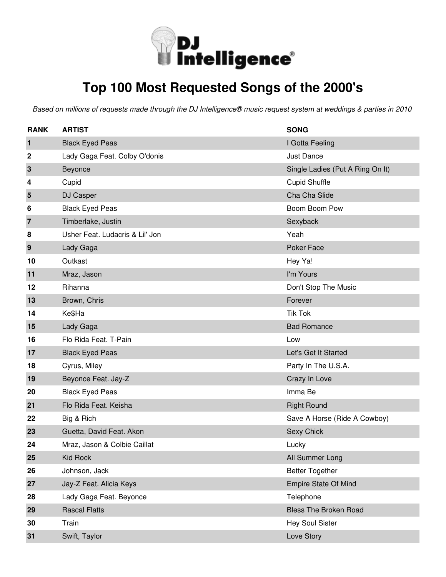

# **Top 100 Most Requested Songs of the 2000's**

| <b>RANK</b>    | <b>ARTIST</b>                   | <b>SONG</b>                      |
|----------------|---------------------------------|----------------------------------|
| $\mathbf{1}$   | <b>Black Eyed Peas</b>          | I Gotta Feeling                  |
| 2              | Lady Gaga Feat. Colby O'donis   | <b>Just Dance</b>                |
| $\mathbf{3}$   | Beyonce                         | Single Ladies (Put A Ring On It) |
| 4              | Cupid                           | <b>Cupid Shuffle</b>             |
| 5              | DJ Casper                       | Cha Cha Slide                    |
| 6              | <b>Black Eyed Peas</b>          | Boom Boom Pow                    |
| $\overline{7}$ | Timberlake, Justin              | Sexyback                         |
| 8              | Usher Feat. Ludacris & Lil' Jon | Yeah                             |
| 9              | Lady Gaga                       | Poker Face                       |
| 10             | Outkast                         | Hey Ya!                          |
| 11             | Mraz, Jason                     | I'm Yours                        |
| 12             | Rihanna                         | Don't Stop The Music             |
| 13             | Brown, Chris                    | Forever                          |
| 14             | Ke\$Ha                          | <b>Tik Tok</b>                   |
| 15             | Lady Gaga                       | <b>Bad Romance</b>               |
| 16             | Flo Rida Feat. T-Pain           | Low                              |
| 17             | <b>Black Eyed Peas</b>          | Let's Get It Started             |
| 18             | Cyrus, Miley                    | Party In The U.S.A.              |
| 19             | Beyonce Feat. Jay-Z             | Crazy In Love                    |
| 20             | <b>Black Eyed Peas</b>          | Imma Be                          |
| 21             | Flo Rida Feat. Keisha           | <b>Right Round</b>               |
| 22             | Big & Rich                      | Save A Horse (Ride A Cowboy)     |
| 23             | Guetta, David Feat. Akon        | Sexy Chick                       |
| 24             | Mraz, Jason & Colbie Caillat    | Lucky                            |
| 25             | Kid Rock                        | All Summer Long                  |
| 26             | Johnson, Jack                   | <b>Better Together</b>           |
| 27             | Jay-Z Feat. Alicia Keys         | <b>Empire State Of Mind</b>      |
| 28             | Lady Gaga Feat. Beyonce         | Telephone                        |
| 29             | <b>Rascal Flatts</b>            | <b>Bless The Broken Road</b>     |
| 30             | Train                           | <b>Hey Soul Sister</b>           |
| 31             | Swift, Taylor                   | Love Story                       |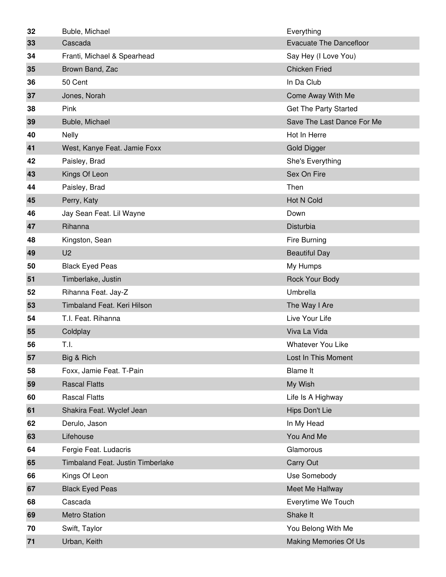| 32 | Buble, Michael                    | Everything                     |
|----|-----------------------------------|--------------------------------|
| 33 | Cascada                           | <b>Evacuate The Dancefloor</b> |
| 34 | Franti, Michael & Spearhead       | Say Hey (I Love You)           |
| 35 | Brown Band, Zac                   | <b>Chicken Fried</b>           |
| 36 | 50 Cent                           | In Da Club                     |
| 37 | Jones, Norah                      | Come Away With Me              |
| 38 | Pink                              | Get The Party Started          |
| 39 | Buble, Michael                    | Save The Last Dance For Me     |
| 40 | <b>Nelly</b>                      | Hot In Herre                   |
| 41 | West, Kanye Feat. Jamie Foxx      | <b>Gold Digger</b>             |
| 42 | Paisley, Brad                     | She's Everything               |
| 43 | Kings Of Leon                     | Sex On Fire                    |
| 44 | Paisley, Brad                     | Then                           |
| 45 | Perry, Katy                       | <b>Hot N Cold</b>              |
| 46 | Jay Sean Feat. Lil Wayne          | Down                           |
| 47 | Rihanna                           | Disturbia                      |
| 48 | Kingston, Sean                    | Fire Burning                   |
| 49 | U <sub>2</sub>                    | <b>Beautiful Day</b>           |
| 50 | <b>Black Eyed Peas</b>            | My Humps                       |
| 51 | Timberlake, Justin                | Rock Your Body                 |
| 52 | Rihanna Feat. Jay-Z               | Umbrella                       |
| 53 | Timbaland Feat. Keri Hilson       | The Way I Are                  |
| 54 | T.I. Feat. Rihanna                | Live Your Life                 |
| 55 | Coldplay                          | Viva La Vida                   |
| 56 | T.I.                              | <b>Whatever You Like</b>       |
| 57 | Big & Rich                        | Lost In This Moment            |
| 58 | Foxx, Jamie Feat. T-Pain          | <b>Blame It</b>                |
| 59 | <b>Rascal Flatts</b>              | My Wish                        |
| 60 | <b>Rascal Flatts</b>              | Life Is A Highway              |
| 61 | Shakira Feat. Wyclef Jean         | Hips Don't Lie                 |
| 62 | Derulo, Jason                     | In My Head                     |
| 63 | Lifehouse                         | You And Me                     |
| 64 | Fergie Feat. Ludacris             | Glamorous                      |
| 65 | Timbaland Feat. Justin Timberlake | Carry Out                      |
| 66 | Kings Of Leon                     | Use Somebody                   |
| 67 | <b>Black Eyed Peas</b>            | Meet Me Halfway                |
| 68 | Cascada                           | Everytime We Touch             |
| 69 | <b>Metro Station</b>              | Shake It                       |
| 70 | Swift, Taylor                     | You Belong With Me             |
| 71 | Urban, Keith                      | Making Memories Of Us          |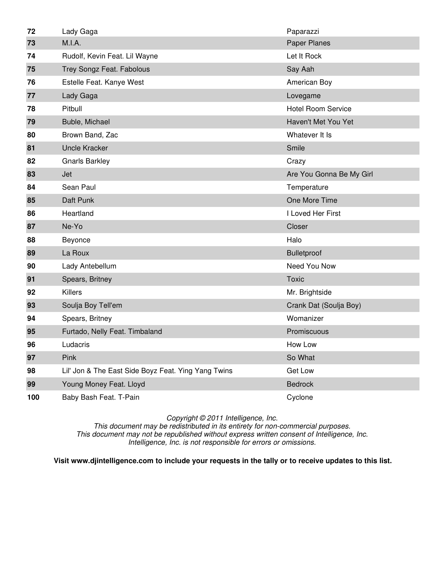| 72  | Lady Gaga                                           | Paparazzi                 |
|-----|-----------------------------------------------------|---------------------------|
| 73  | M.I.A.                                              | Paper Planes              |
| 74  | Rudolf, Kevin Feat. Lil Wayne                       | Let It Rock               |
| 75  | Trey Songz Feat. Fabolous                           | Say Aah                   |
| 76  | Estelle Feat. Kanye West                            | American Boy              |
| 77  | Lady Gaga                                           | Lovegame                  |
| 78  | Pitbull                                             | <b>Hotel Room Service</b> |
| 79  | Buble, Michael                                      | Haven't Met You Yet       |
| 80  | Brown Band, Zac                                     | Whatever It Is            |
| 81  | <b>Uncle Kracker</b>                                | Smile                     |
| 82  | <b>Gnarls Barkley</b>                               | Crazy                     |
| 83  | Jet                                                 | Are You Gonna Be My Girl  |
| 84  | Sean Paul                                           | Temperature               |
| 85  | Daft Punk                                           | One More Time             |
| 86  | Heartland                                           | I Loved Her First         |
| 87  | Ne-Yo                                               | Closer                    |
| 88  | Beyonce                                             | Halo                      |
| 89  | La Roux                                             | <b>Bulletproof</b>        |
| 90  | Lady Antebellum                                     | Need You Now              |
| 91  | Spears, Britney                                     | <b>Toxic</b>              |
| 92  | <b>Killers</b>                                      | Mr. Brightside            |
| 93  | Soulja Boy Tell'em                                  | Crank Dat (Soulja Boy)    |
| 94  | Spears, Britney                                     | Womanizer                 |
| 95  | Furtado, Nelly Feat. Timbaland                      | Promiscuous               |
| 96  | Ludacris                                            | How Low                   |
| 97  | Pink                                                | So What                   |
| 98  | Lil' Jon & The East Side Boyz Feat. Ying Yang Twins | Get Low                   |
| 99  | Young Money Feat. Lloyd                             | <b>Bedrock</b>            |
| 100 | Baby Bash Feat. T-Pain                              | Cyclone                   |

This document may be redistributed in its entirety for non-commercial purposes. This document may not be republished without express written consent of Intelligence, Inc. Intelligence, Inc. is not responsible for errors or omissions.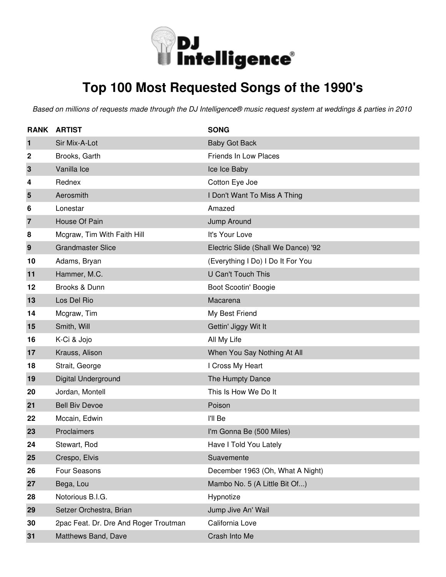

# **Top 100 Most Requested Songs of the 1990's**

| <b>RANK</b>             | <b>ARTIST</b>                         | <b>SONG</b>                         |
|-------------------------|---------------------------------------|-------------------------------------|
| 1                       | Sir Mix-A-Lot                         | <b>Baby Got Back</b>                |
| 2                       | Brooks, Garth                         | Friends In Low Places               |
| 3                       | Vanilla Ice                           | Ice Ice Baby                        |
| 4                       | Rednex                                | Cotton Eye Joe                      |
| $\overline{\mathbf{5}}$ | Aerosmith                             | I Don't Want To Miss A Thing        |
| 6                       | Lonestar                              | Amazed                              |
| $\overline{7}$          | House Of Pain                         | Jump Around                         |
| 8                       | Mcgraw, Tim With Faith Hill           | It's Your Love                      |
| $\boldsymbol{9}$        | <b>Grandmaster Slice</b>              | Electric Slide (Shall We Dance) '92 |
| 10                      | Adams, Bryan                          | (Everything I Do) I Do It For You   |
| 11                      | Hammer, M.C.                          | <b>U Can't Touch This</b>           |
| 12                      | Brooks & Dunn                         | Boot Scootin' Boogie                |
| 13                      | Los Del Rio                           | Macarena                            |
| 14                      | Mcgraw, Tim                           | My Best Friend                      |
| 15                      | Smith, Will                           | Gettin' Jiggy Wit It                |
| 16                      | K-Ci & Jojo                           | All My Life                         |
| 17                      | Krauss, Alison                        | When You Say Nothing At All         |
| 18                      | Strait, George                        | I Cross My Heart                    |
| 19                      | Digital Underground                   | The Humpty Dance                    |
| 20                      | Jordan, Montell                       | This Is How We Do It                |
| 21                      | <b>Bell Biv Devoe</b>                 | Poison                              |
| 22                      | Mccain, Edwin                         | I'll Be                             |
| 23                      | Proclaimers                           | I'm Gonna Be (500 Miles)            |
| 24                      | Stewart, Rod                          | Have I Told You Lately              |
| 25                      | Crespo, Elvis                         | Suavemente                          |
| 26                      | Four Seasons                          | December 1963 (Oh, What A Night)    |
| 27                      | Bega, Lou                             | Mambo No. 5 (A Little Bit Of)       |
| 28                      | Notorious B.I.G.                      | Hypnotize                           |
| 29                      | Setzer Orchestra, Brian               | Jump Jive An' Wail                  |
| 30                      | 2pac Feat. Dr. Dre And Roger Troutman | California Love                     |
| 31                      | Matthews Band, Dave                   | Crash Into Me                       |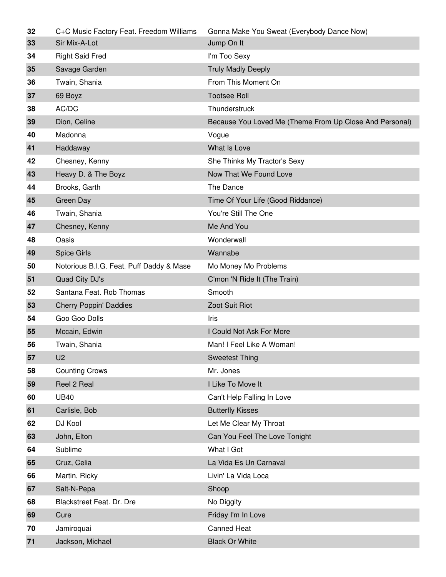| 32 | C+C Music Factory Feat. Freedom Williams | Gonna Make You Sweat (Everybody Dance Now)              |
|----|------------------------------------------|---------------------------------------------------------|
| 33 | Sir Mix-A-Lot                            | Jump On It                                              |
| 34 | <b>Right Said Fred</b>                   | I'm Too Sexy                                            |
| 35 | Savage Garden                            | <b>Truly Madly Deeply</b>                               |
| 36 | Twain, Shania                            | From This Moment On                                     |
| 37 | 69 Boyz                                  | <b>Tootsee Roll</b>                                     |
| 38 | AC/DC                                    | Thunderstruck                                           |
| 39 | Dion, Celine                             | Because You Loved Me (Theme From Up Close And Personal) |
| 40 | Madonna                                  | Vogue                                                   |
| 41 | Haddaway                                 | What Is Love                                            |
| 42 | Chesney, Kenny                           | She Thinks My Tractor's Sexy                            |
| 43 | Heavy D. & The Boyz                      | Now That We Found Love                                  |
| 44 | Brooks, Garth                            | The Dance                                               |
| 45 | <b>Green Day</b>                         | Time Of Your Life (Good Riddance)                       |
| 46 | Twain, Shania                            | You're Still The One                                    |
| 47 | Chesney, Kenny                           | Me And You                                              |
| 48 | Oasis                                    | Wonderwall                                              |
| 49 | <b>Spice Girls</b>                       | Wannabe                                                 |
| 50 | Notorious B.I.G. Feat. Puff Daddy & Mase | Mo Money Mo Problems                                    |
| 51 | Quad City DJ's                           | C'mon 'N Ride It (The Train)                            |
|    |                                          |                                                         |
| 52 | Santana Feat. Rob Thomas                 | Smooth                                                  |
| 53 | <b>Cherry Poppin' Daddies</b>            | Zoot Suit Riot                                          |
| 54 | Goo Goo Dolls                            | Iris                                                    |
| 55 | Mccain, Edwin                            | I Could Not Ask For More                                |
| 56 | Twain, Shania                            | Man! I Feel Like A Woman!                               |
| 57 | U <sub>2</sub>                           | <b>Sweetest Thing</b>                                   |
| 58 | <b>Counting Crows</b>                    | Mr. Jones                                               |
| 59 | Reel 2 Real                              | I Like To Move It                                       |
| 60 | <b>UB40</b>                              | Can't Help Falling In Love                              |
| 61 | Carlisle, Bob                            | <b>Butterfly Kisses</b>                                 |
| 62 | DJ Kool                                  | Let Me Clear My Throat                                  |
| 63 | John, Elton                              | Can You Feel The Love Tonight                           |
| 64 | Sublime                                  | What I Got                                              |
| 65 | Cruz, Celia                              | La Vida Es Un Carnaval                                  |
| 66 | Martin, Ricky                            | Livin' La Vida Loca                                     |
| 67 | Salt-N-Pepa                              | Shoop                                                   |
| 68 | Blackstreet Feat. Dr. Dre                | No Diggity                                              |
| 69 | Cure                                     | Friday I'm In Love                                      |
| 70 | Jamiroquai                               | <b>Canned Heat</b>                                      |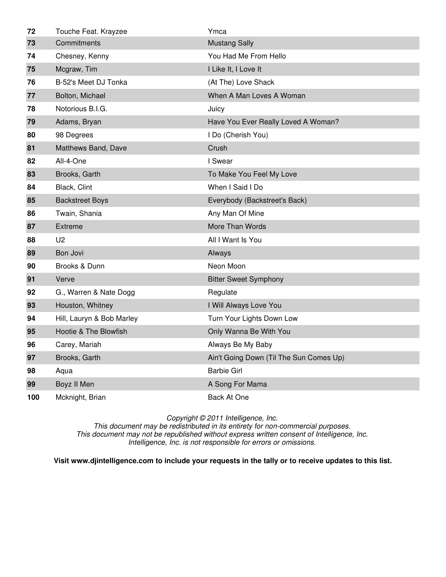| 72  | Touche Feat. Krayzee      | Ymca                                    |
|-----|---------------------------|-----------------------------------------|
| 73  | Commitments               | <b>Mustang Sally</b>                    |
| 74  | Chesney, Kenny            | You Had Me From Hello                   |
| 75  | Mcgraw, Tim               | I Like It, I Love It                    |
| 76  | B-52's Meet DJ Tonka      | (At The) Love Shack                     |
| 77  | Bolton, Michael           | When A Man Loves A Woman                |
| 78  | Notorious B.I.G.          | Juicy                                   |
| 79  | Adams, Bryan              | Have You Ever Really Loved A Woman?     |
| 80  | 98 Degrees                | I Do (Cherish You)                      |
| 81  | Matthews Band, Dave       | Crush                                   |
| 82  | All-4-One                 | I Swear                                 |
| 83  | Brooks, Garth             | To Make You Feel My Love                |
| 84  | Black, Clint              | When I Said I Do                        |
| 85  | <b>Backstreet Boys</b>    | Everybody (Backstreet's Back)           |
| 86  | Twain, Shania             | Any Man Of Mine                         |
| 87  | <b>Extreme</b>            | More Than Words                         |
| 88  | U <sub>2</sub>            | All I Want Is You                       |
| 89  | Bon Jovi                  | Always                                  |
| 90  | Brooks & Dunn             | Neon Moon                               |
| 91  | Verve                     | <b>Bitter Sweet Symphony</b>            |
| 92  | G., Warren & Nate Dogg    | Regulate                                |
| 93  | Houston, Whitney          | I Will Always Love You                  |
| 94  | Hill, Lauryn & Bob Marley | Turn Your Lights Down Low               |
| 95  | Hootie & The Blowfish     | Only Wanna Be With You                  |
| 96  | Carey, Mariah             | Always Be My Baby                       |
| 97  | Brooks, Garth             | Ain't Going Down (Til The Sun Comes Up) |
| 98  | Aqua                      | <b>Barbie Girl</b>                      |
| 99  | Boyz II Men               | A Song For Mama                         |
| 100 | Mcknight, Brian           | Back At One                             |

This document may be redistributed in its entirety for non-commercial purposes. This document may not be republished without express written consent of Intelligence, Inc. Intelligence, Inc. is not responsible for errors or omissions.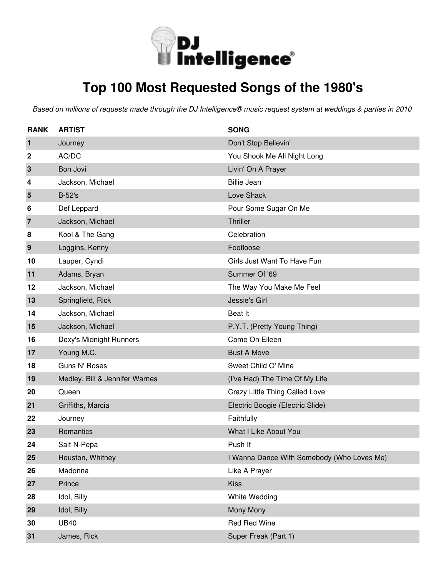

# **Top 100 Most Requested Songs of the 1980's**

| <b>RANK</b>    | <b>ARTIST</b>                  | <b>SONG</b>                                |
|----------------|--------------------------------|--------------------------------------------|
| 1              | Journey                        | Don't Stop Believin'                       |
| 2              | AC/DC                          | You Shook Me All Night Long                |
| $\mathbf 3$    | Bon Jovi                       | Livin' On A Prayer                         |
| 4              | Jackson, Michael               | <b>Billie Jean</b>                         |
| 5              | <b>B-52's</b>                  | Love Shack                                 |
| 6              | Def Leppard                    | Pour Some Sugar On Me                      |
| $\overline{7}$ | Jackson, Michael               | Thriller                                   |
| 8              | Kool & The Gang                | Celebration                                |
| 9              | Loggins, Kenny                 | Footloose                                  |
| 10             | Lauper, Cyndi                  | Girls Just Want To Have Fun                |
| 11             | Adams, Bryan                   | Summer Of '69                              |
| 12             | Jackson, Michael               | The Way You Make Me Feel                   |
| 13             | Springfield, Rick              | Jessie's Girl                              |
| 14             | Jackson, Michael               | Beat It                                    |
| 15             | Jackson, Michael               | P.Y.T. (Pretty Young Thing)                |
| 16             | Dexy's Midnight Runners        | Come On Eileen                             |
| 17             | Young M.C.                     | <b>Bust A Move</b>                         |
| 18             | Guns N' Roses                  | Sweet Child O' Mine                        |
| 19             | Medley, Bill & Jennifer Warnes | (I've Had) The Time Of My Life             |
| 20             | Queen                          | Crazy Little Thing Called Love             |
| 21             | Griffiths, Marcia              | Electric Boogie (Electric Slide)           |
| 22             | Journey                        | Faithfully                                 |
| 23             | Romantics                      | What I Like About You                      |
| 24             | Salt-N-Pepa                    | Push It                                    |
| 25             | Houston, Whitney               | I Wanna Dance With Somebody (Who Loves Me) |
| 26             | Madonna                        | Like A Prayer                              |
| 27             | Prince                         | <b>Kiss</b>                                |
| 28             | Idol, Billy                    | White Wedding                              |
| 29             | Idol, Billy                    | Mony Mony                                  |
| 30             | <b>UB40</b>                    | <b>Red Red Wine</b>                        |
| 31             | James, Rick                    | Super Freak (Part 1)                       |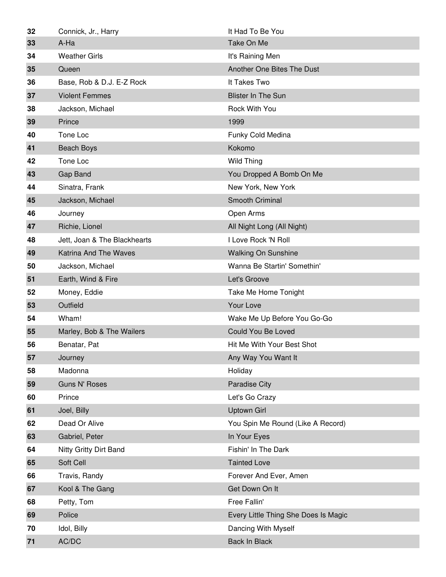| 32   | Connick, Jr., Harry          | It Had To Be You                     |
|------|------------------------------|--------------------------------------|
| 33   | A-Ha                         | Take On Me                           |
| 34   | <b>Weather Girls</b>         | It's Raining Men                     |
| 35   | Queen                        | Another One Bites The Dust           |
| 36   | Base, Rob & D.J. E-Z Rock    | It Takes Two                         |
| 37   | <b>Violent Femmes</b>        | <b>Blister In The Sun</b>            |
| 38   | Jackson, Michael             | Rock With You                        |
| 39   | Prince                       | 1999                                 |
| 40   | Tone Loc                     | Funky Cold Medina                    |
| 41   | <b>Beach Boys</b>            | Kokomo                               |
| 42   | Tone Loc                     | Wild Thing                           |
| 43   | Gap Band                     | You Dropped A Bomb On Me             |
| 44   | Sinatra, Frank               | New York, New York                   |
| 45   | Jackson, Michael             | Smooth Criminal                      |
| 46   | Journey                      | Open Arms                            |
| 47   | Richie, Lionel               | All Night Long (All Night)           |
| 48   | Jett, Joan & The Blackhearts | I Love Rock 'N Roll                  |
| 49   | Katrina And The Waves        | <b>Walking On Sunshine</b>           |
| 50   | Jackson, Michael             | Wanna Be Startin' Somethin'          |
| 51   | Earth, Wind & Fire           | Let's Groove                         |
| 52   | Money, Eddie                 | Take Me Home Tonight                 |
| 53   | Outfield                     | Your Love                            |
| 54   | Wham!                        | Wake Me Up Before You Go-Go          |
| 55   | Marley, Bob & The Wailers    | Could You Be Loved                   |
| 56   | Benatar, Pat                 | Hit Me With Your Best Shot           |
| 57   | Journey                      | Any Way You Want It                  |
| 58   | Madonna                      | Holiday                              |
| 59   | <b>Guns N' Roses</b>         | <b>Paradise City</b>                 |
| 60   | Prince                       | Let's Go Crazy                       |
| 61   | Joel, Billy                  | <b>Uptown Girl</b>                   |
| 62   | Dead Or Alive                | You Spin Me Round (Like A Record)    |
| 63   | Gabriel, Peter               | In Your Eyes                         |
| 64   | Nitty Gritty Dirt Band       | Fishin' In The Dark                  |
| 65   | Soft Cell                    | <b>Tainted Love</b>                  |
| 66   | Travis, Randy                | Forever And Ever, Amen               |
| 67   | Kool & The Gang              | Get Down On It                       |
| 68   | Petty, Tom                   | Free Fallin'                         |
| 69   | Police                       | Every Little Thing She Does Is Magic |
| 70   | Idol, Billy                  | Dancing With Myself                  |
| $71$ | AC/DC                        | Back In Black                        |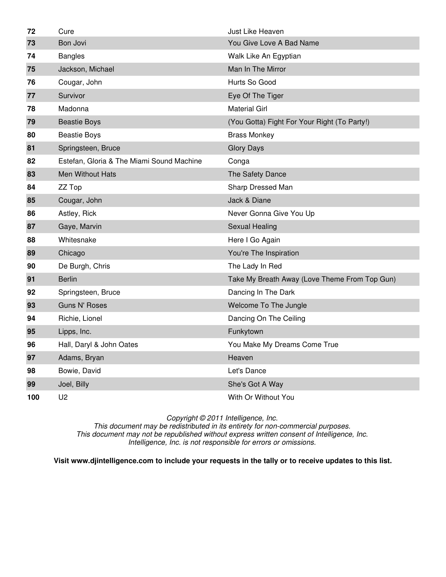| 72  | Cure                                      | Just Like Heaven                              |
|-----|-------------------------------------------|-----------------------------------------------|
| 73  | Bon Jovi                                  | You Give Love A Bad Name                      |
| 74  | <b>Bangles</b>                            | Walk Like An Egyptian                         |
| 75  | Jackson, Michael                          | Man In The Mirror                             |
| 76  | Cougar, John                              | Hurts So Good                                 |
| 77  | Survivor                                  | Eye Of The Tiger                              |
| 78  | Madonna                                   | <b>Material Girl</b>                          |
| 79  | <b>Beastie Boys</b>                       | (You Gotta) Fight For Your Right (To Party!)  |
| 80  | <b>Beastie Boys</b>                       | <b>Brass Monkey</b>                           |
| 81  | Springsteen, Bruce                        | <b>Glory Days</b>                             |
| 82  | Estefan, Gloria & The Miami Sound Machine | Conga                                         |
| 83  | <b>Men Without Hats</b>                   | The Safety Dance                              |
| 84  | ZZ Top                                    | Sharp Dressed Man                             |
| 85  | Cougar, John                              | Jack & Diane                                  |
| 86  | Astley, Rick                              | Never Gonna Give You Up                       |
| 87  | Gaye, Marvin                              | Sexual Healing                                |
| 88  | Whitesnake                                | Here I Go Again                               |
| 89  | Chicago                                   | You're The Inspiration                        |
| 90  | De Burgh, Chris                           | The Lady In Red                               |
| 91  | <b>Berlin</b>                             | Take My Breath Away (Love Theme From Top Gun) |
| 92  | Springsteen, Bruce                        | Dancing In The Dark                           |
| 93  | <b>Guns N' Roses</b>                      | Welcome To The Jungle                         |
| 94  | Richie, Lionel                            | Dancing On The Ceiling                        |
| 95  | Lipps, Inc.                               | Funkytown                                     |
| 96  | Hall, Daryl & John Oates                  | You Make My Dreams Come True                  |
| 97  | Adams, Bryan                              | Heaven                                        |
| 98  | Bowie, David                              | Let's Dance                                   |
| 99  | Joel, Billy                               | She's Got A Way                               |
| 100 | U <sub>2</sub>                            | With Or Without You                           |

This document may be redistributed in its entirety for non-commercial purposes. This document may not be republished without express written consent of Intelligence, Inc. Intelligence, Inc. is not responsible for errors or omissions.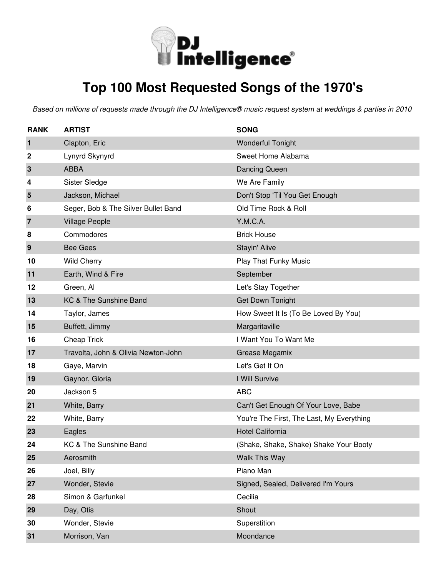

# **Top 100 Most Requested Songs of the 1970's**

| <b>RANK</b> | <b>ARTIST</b>                       | <b>SONG</b>                               |
|-------------|-------------------------------------|-------------------------------------------|
| 1           | Clapton, Eric                       | <b>Wonderful Tonight</b>                  |
| 2           | Lynyrd Skynyrd                      | Sweet Home Alabama                        |
| 3           | <b>ABBA</b>                         | Dancing Queen                             |
| 4           | Sister Sledge                       | We Are Family                             |
| 5           | Jackson, Michael                    | Don't Stop 'Til You Get Enough            |
| 6           | Seger, Bob & The Silver Bullet Band | Old Time Rock & Roll                      |
| 7           | <b>Village People</b>               | Y.M.C.A.                                  |
| 8           | Commodores                          | <b>Brick House</b>                        |
| 9           | <b>Bee Gees</b>                     | Stayin' Alive                             |
| 10          | <b>Wild Cherry</b>                  | Play That Funky Music                     |
| 11          | Earth, Wind & Fire                  | September                                 |
| 12          | Green, Al                           | Let's Stay Together                       |
| 13          | KC & The Sunshine Band              | <b>Get Down Tonight</b>                   |
| 14          | Taylor, James                       | How Sweet It Is (To Be Loved By You)      |
| 15          | Buffett, Jimmy                      | Margaritaville                            |
| 16          | Cheap Trick                         | I Want You To Want Me                     |
| 17          | Travolta, John & Olivia Newton-John | Grease Megamix                            |
| 18          | Gaye, Marvin                        | Let's Get It On                           |
| 19          | Gaynor, Gloria                      | I Will Survive                            |
| 20          | Jackson 5                           | <b>ABC</b>                                |
| 21          | White, Barry                        | Can't Get Enough Of Your Love, Babe       |
| 22          | White, Barry                        | You're The First, The Last, My Everything |
| 23          | Eagles                              | <b>Hotel California</b>                   |
| 24          | KC & The Sunshine Band              | (Shake, Shake, Shake) Shake Your Booty    |
| 25          | Aerosmith                           | Walk This Way                             |
| 26          | Joel, Billy                         | Piano Man                                 |
| 27          | Wonder, Stevie                      | Signed, Sealed, Delivered I'm Yours       |
| 28          | Simon & Garfunkel                   | Cecilia                                   |
| 29          | Day, Otis                           | Shout                                     |
| 30          | Wonder, Stevie                      | Superstition                              |
| 31          | Morrison, Van                       | Moondance                                 |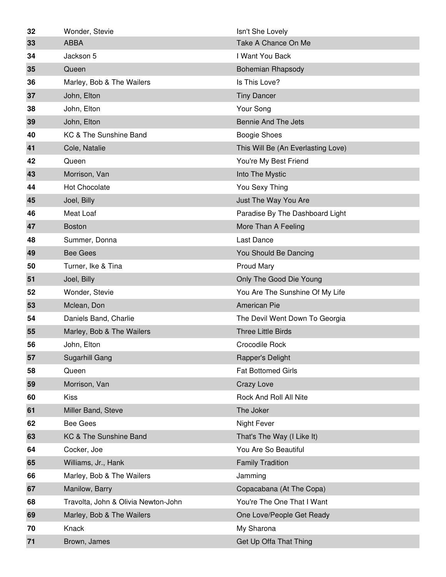| 32 | Wonder, Stevie                      | Isn't She Lovely                   |
|----|-------------------------------------|------------------------------------|
| 33 | <b>ABBA</b>                         | Take A Chance On Me                |
| 34 | Jackson 5                           | I Want You Back                    |
| 35 | Queen                               | <b>Bohemian Rhapsody</b>           |
| 36 | Marley, Bob & The Wailers           | Is This Love?                      |
| 37 | John, Elton                         | <b>Tiny Dancer</b>                 |
| 38 | John, Elton                         | Your Song                          |
| 39 | John, Elton                         | <b>Bennie And The Jets</b>         |
| 40 | KC & The Sunshine Band              | <b>Boogie Shoes</b>                |
| 41 | Cole, Natalie                       | This Will Be (An Everlasting Love) |
| 42 | Queen                               | You're My Best Friend              |
| 43 | Morrison, Van                       | Into The Mystic                    |
| 44 | <b>Hot Chocolate</b>                | You Sexy Thing                     |
| 45 | Joel, Billy                         | Just The Way You Are               |
| 46 | Meat Loaf                           | Paradise By The Dashboard Light    |
| 47 | <b>Boston</b>                       | More Than A Feeling                |
| 48 | Summer, Donna                       | Last Dance                         |
| 49 | <b>Bee Gees</b>                     | You Should Be Dancing              |
| 50 | Turner, Ike & Tina                  | Proud Mary                         |
| 51 | Joel, Billy                         | Only The Good Die Young            |
| 52 | Wonder, Stevie                      | You Are The Sunshine Of My Life    |
| 53 | Mclean, Don                         | American Pie                       |
| 54 | Daniels Band, Charlie               | The Devil Went Down To Georgia     |
| 55 | Marley, Bob & The Wailers           | <b>Three Little Birds</b>          |
| 56 | John, Elton                         | Crocodile Rock                     |
| 57 | Sugarhill Gang                      | Rapper's Delight                   |
| 58 | Queen                               | <b>Fat Bottomed Girls</b>          |
| 59 | Morrison, Van                       | Crazy Love                         |
| 60 | <b>Kiss</b>                         | Rock And Roll All Nite             |
| 61 | Miller Band, Steve                  | The Joker                          |
| 62 | <b>Bee Gees</b>                     | <b>Night Fever</b>                 |
| 63 | KC & The Sunshine Band              | That's The Way (I Like It)         |
| 64 | Cocker, Joe                         | You Are So Beautiful               |
| 65 | Williams, Jr., Hank                 | <b>Family Tradition</b>            |
| 66 | Marley, Bob & The Wailers           | Jamming                            |
| 67 | Manilow, Barry                      | Copacabana (At The Copa)           |
| 68 | Travolta, John & Olivia Newton-John | You're The One That I Want         |
| 69 | Marley, Bob & The Wailers           | One Love/People Get Ready          |
| 70 | Knack                               | My Sharona                         |
| 71 | Brown, James                        | Get Up Offa That Thing             |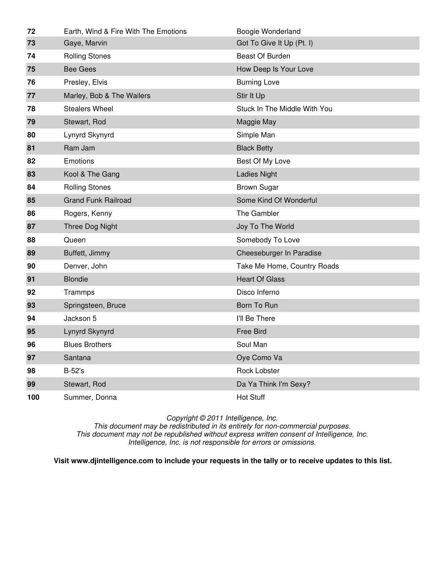| 72  | Earth, Wind & Fire With The Emotions | Boogie Wonderland            |
|-----|--------------------------------------|------------------------------|
| 73  | Gaye, Marvin                         | Got To Give It Up (Pt. I)    |
| 74  | <b>Rolling Stones</b>                | <b>Beast Of Burden</b>       |
| 75  | <b>Bee Gees</b>                      | How Deep Is Your Love        |
| 76  | Presley, Elvis                       | <b>Burning Love</b>          |
| 77  | Marley, Bob & The Wailers            | Stir It Up                   |
| 78  | <b>Stealers Wheel</b>                | Stuck In The Middle With You |
| 79  | Stewart, Rod                         | Maggie May                   |
| 80  | Lynyrd Skynyrd                       | Simple Man                   |
| 81  | Ram Jam                              | <b>Black Betty</b>           |
| 82  | Emotions                             | Best Of My Love              |
| 83  | Kool & The Gang                      | <b>Ladies Night</b>          |
| 84  | <b>Rolling Stones</b>                | <b>Brown Sugar</b>           |
| 85  | <b>Grand Funk Railroad</b>           | Some Kind Of Wonderful       |
| 86  | Rogers, Kenny                        | The Gambler                  |
| 87  | Three Dog Night                      | Joy To The World             |
| 88  | Queen                                | Somebody To Love             |
| 89  | Buffett, Jimmy                       | Cheeseburger In Paradise     |
| 90  | Denver, John                         | Take Me Home, Country Roads  |
| 91  | <b>Blondie</b>                       | <b>Heart Of Glass</b>        |
| 92  | Trammps                              | Disco Inferno                |
| 93  | Springsteen, Bruce                   | Born To Run                  |
| 94  | Jackson 5                            | I'll Be There                |
| 95  | Lynyrd Skynyrd                       | <b>Free Bird</b>             |
| 96  | <b>Blues Brothers</b>                | Soul Man                     |
| 97  | Santana                              | Oye Como Va                  |
| 98  | <b>B-52's</b>                        | <b>Rock Lobster</b>          |
| 99  | Stewart, Rod                         | Da Ya Think I'm Sexy?        |
| 100 | Summer, Donna                        | <b>Hot Stuff</b>             |

This document may be redistributed in its entirety for non-commercial purposes. This document may not be republished without express written consent of Intelligence, Inc. Intelligence, Inc. is not responsible for errors or omissions.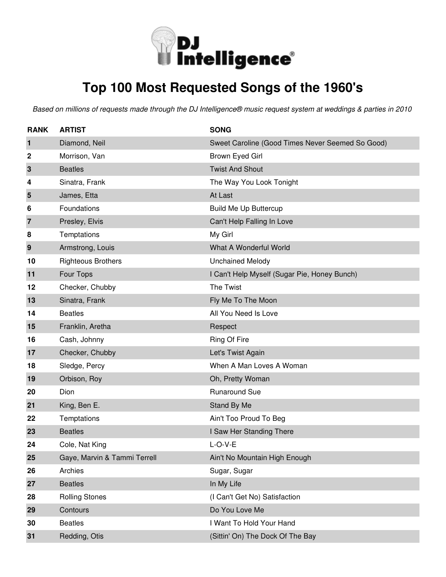

# **Top 100 Most Requested Songs of the 1960's**

| <b>RANK</b>      | <b>ARTIST</b>                | <b>SONG</b>                                      |
|------------------|------------------------------|--------------------------------------------------|
| 1                | Diamond, Neil                | Sweet Caroline (Good Times Never Seemed So Good) |
| $\boldsymbol{2}$ | Morrison, Van                | Brown Eyed Girl                                  |
| 3                | <b>Beatles</b>               | <b>Twist And Shout</b>                           |
| 4                | Sinatra, Frank               | The Way You Look Tonight                         |
| 5                | James, Etta                  | At Last                                          |
| 6                | Foundations                  | <b>Build Me Up Buttercup</b>                     |
| 7                | Presley, Elvis               | Can't Help Falling In Love                       |
| 8                | Temptations                  | My Girl                                          |
| 9                | Armstrong, Louis             | What A Wonderful World                           |
| 10               | <b>Righteous Brothers</b>    | <b>Unchained Melody</b>                          |
| 11               | Four Tops                    | I Can't Help Myself (Sugar Pie, Honey Bunch)     |
| 12               | Checker, Chubby              | The Twist                                        |
| 13               | Sinatra, Frank               | Fly Me To The Moon                               |
| 14               | <b>Beatles</b>               | All You Need Is Love                             |
| 15               | Franklin, Aretha             | Respect                                          |
| 16               | Cash, Johnny                 | Ring Of Fire                                     |
| 17               | Checker, Chubby              | Let's Twist Again                                |
| 18               | Sledge, Percy                | When A Man Loves A Woman                         |
| 19               | Orbison, Roy                 | Oh, Pretty Woman                                 |
| 20               | Dion                         | <b>Runaround Sue</b>                             |
| 21               | King, Ben E.                 | Stand By Me                                      |
| 22               | Temptations                  | Ain't Too Proud To Beg                           |
| 23               | <b>Beatles</b>               | I Saw Her Standing There                         |
| 24               | Cole, Nat King               | $L-O-V-E$                                        |
| 25               | Gaye, Marvin & Tammi Terrell | Ain't No Mountain High Enough                    |
| 26               | Archies                      | Sugar, Sugar                                     |
| 27               | <b>Beatles</b>               | In My Life                                       |
| 28               | <b>Rolling Stones</b>        | (I Can't Get No) Satisfaction                    |
| 29               | Contours                     | Do You Love Me                                   |
| 30               | <b>Beatles</b>               | I Want To Hold Your Hand                         |
| 31               | Redding, Otis                | (Sittin' On) The Dock Of The Bay                 |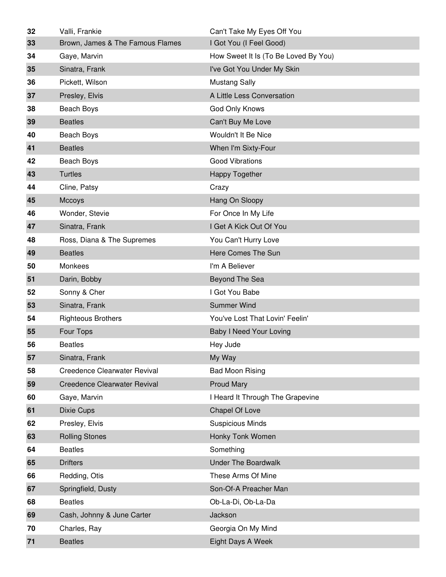| 32 | Valli, Frankie                      | Can't Take My Eyes Off You           |
|----|-------------------------------------|--------------------------------------|
| 33 | Brown, James & The Famous Flames    | I Got You (I Feel Good)              |
| 34 | Gaye, Marvin                        | How Sweet It Is (To Be Loved By You) |
| 35 | Sinatra, Frank                      | I've Got You Under My Skin           |
| 36 | Pickett, Wilson                     | <b>Mustang Sally</b>                 |
| 37 | Presley, Elvis                      | A Little Less Conversation           |
| 38 | Beach Boys                          | God Only Knows                       |
| 39 | <b>Beatles</b>                      | Can't Buy Me Love                    |
| 40 | Beach Boys                          | Wouldn't It Be Nice                  |
| 41 | <b>Beatles</b>                      | When I'm Sixty-Four                  |
| 42 | Beach Boys                          | <b>Good Vibrations</b>               |
| 43 | <b>Turtles</b>                      | <b>Happy Together</b>                |
| 44 | Cline, Patsy                        | Crazy                                |
| 45 | Mccoys                              | Hang On Sloopy                       |
| 46 | Wonder, Stevie                      | For Once In My Life                  |
| 47 | Sinatra, Frank                      | I Get A Kick Out Of You              |
| 48 | Ross, Diana & The Supremes          | You Can't Hurry Love                 |
| 49 | <b>Beatles</b>                      | Here Comes The Sun                   |
| 50 | Monkees                             | I'm A Believer                       |
| 51 | Darin, Bobby                        | Beyond The Sea                       |
| 52 | Sonny & Cher                        | I Got You Babe                       |
| 53 | Sinatra, Frank                      | <b>Summer Wind</b>                   |
| 54 | <b>Righteous Brothers</b>           | You've Lost That Lovin' Feelin'      |
| 55 | Four Tops                           | <b>Baby I Need Your Loving</b>       |
| 56 | <b>Beatles</b>                      | Hey Jude                             |
| 57 | Sinatra, Frank                      | My Way                               |
| 58 | <b>Creedence Clearwater Revival</b> | <b>Bad Moon Rising</b>               |
| 59 | <b>Creedence Clearwater Revival</b> | <b>Proud Mary</b>                    |
| 60 | Gaye, Marvin                        | I Heard It Through The Grapevine     |
| 61 | Dixie Cups                          | Chapel Of Love                       |
| 62 | Presley, Elvis                      | <b>Suspicious Minds</b>              |
| 63 | <b>Rolling Stones</b>               | Honky Tonk Women                     |
| 64 | <b>Beatles</b>                      | Something                            |
| 65 | <b>Drifters</b>                     | <b>Under The Boardwalk</b>           |
| 66 | Redding, Otis                       | These Arms Of Mine                   |
| 67 | Springfield, Dusty                  | Son-Of-A Preacher Man                |
| 68 | <b>Beatles</b>                      | Ob-La-Di, Ob-La-Da                   |
| 69 | Cash, Johnny & June Carter          | Jackson                              |
| 70 | Charles, Ray                        | Georgia On My Mind                   |
| 71 | <b>Beatles</b>                      | Eight Days A Week                    |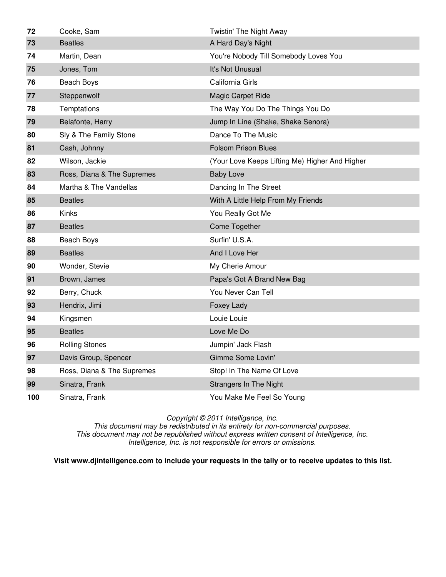| 72  | Cooke, Sam                 | Twistin' The Night Away                        |
|-----|----------------------------|------------------------------------------------|
| 73  | <b>Beatles</b>             | A Hard Day's Night                             |
| 74  | Martin, Dean               | You're Nobody Till Somebody Loves You          |
| 75  | Jones, Tom                 | It's Not Unusual                               |
| 76  | Beach Boys                 | California Girls                               |
| 77  | Steppenwolf                | Magic Carpet Ride                              |
| 78  | Temptations                | The Way You Do The Things You Do               |
| 79  | Belafonte, Harry           | Jump In Line (Shake, Shake Senora)             |
| 80  | Sly & The Family Stone     | Dance To The Music                             |
| 81  | Cash, Johnny               | <b>Folsom Prison Blues</b>                     |
| 82  | Wilson, Jackie             | (Your Love Keeps Lifting Me) Higher And Higher |
| 83  | Ross, Diana & The Supremes | <b>Baby Love</b>                               |
| 84  | Martha & The Vandellas     | Dancing In The Street                          |
| 85  | <b>Beatles</b>             | With A Little Help From My Friends             |
| 86  | Kinks                      | You Really Got Me                              |
| 87  | <b>Beatles</b>             | Come Together                                  |
| 88  | Beach Boys                 | Surfin' U.S.A.                                 |
| 89  | <b>Beatles</b>             | And I Love Her                                 |
| 90  | Wonder, Stevie             | My Cherie Amour                                |
| 91  | Brown, James               | Papa's Got A Brand New Bag                     |
| 92  | Berry, Chuck               | You Never Can Tell                             |
| 93  | Hendrix, Jimi              | Foxey Lady                                     |
| 94  | Kingsmen                   | Louie Louie                                    |
| 95  | <b>Beatles</b>             | Love Me Do                                     |
| 96  | <b>Rolling Stones</b>      | Jumpin' Jack Flash                             |
| 97  | Davis Group, Spencer       | Gimme Some Lovin'                              |
| 98  | Ross, Diana & The Supremes | Stop! In The Name Of Love                      |
| 99  | Sinatra, Frank             | <b>Strangers In The Night</b>                  |
| 100 | Sinatra, Frank             | You Make Me Feel So Young                      |

This document may be redistributed in its entirety for non-commercial purposes. This document may not be republished without express written consent of Intelligence, Inc. Intelligence, Inc. is not responsible for errors or omissions.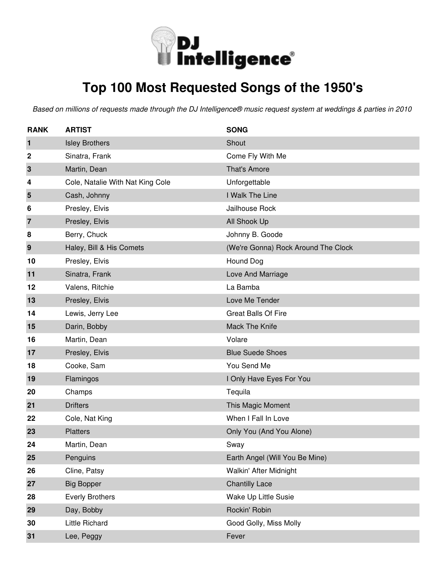

# **Top 100 Most Requested Songs of the 1950's**

| <b>RANK</b>      | <b>ARTIST</b>                    | <b>SONG</b>                         |
|------------------|----------------------------------|-------------------------------------|
| $\mathbf{1}$     | <b>Isley Brothers</b>            | Shout                               |
| $\boldsymbol{2}$ | Sinatra, Frank                   | Come Fly With Me                    |
| 3                | Martin, Dean                     | That's Amore                        |
| 4                | Cole, Natalie With Nat King Cole | Unforgettable                       |
| 5                | Cash, Johnny                     | I Walk The Line                     |
| 6                | Presley, Elvis                   | Jailhouse Rock                      |
| $\overline{7}$   | Presley, Elvis                   | All Shook Up                        |
| 8                | Berry, Chuck                     | Johnny B. Goode                     |
| 9                | Haley, Bill & His Comets         | (We're Gonna) Rock Around The Clock |
| 10               | Presley, Elvis                   | Hound Dog                           |
| 11               | Sinatra, Frank                   | Love And Marriage                   |
| 12               | Valens, Ritchie                  | La Bamba                            |
| 13               | Presley, Elvis                   | Love Me Tender                      |
| 14               | Lewis, Jerry Lee                 | <b>Great Balls Of Fire</b>          |
| 15               | Darin, Bobby                     | Mack The Knife                      |
| 16               | Martin, Dean                     | Volare                              |
| 17               | Presley, Elvis                   | <b>Blue Suede Shoes</b>             |
| 18               | Cooke, Sam                       | You Send Me                         |
| 19               | Flamingos                        | I Only Have Eyes For You            |
| 20               | Champs                           | Tequila                             |
| 21               | <b>Drifters</b>                  | This Magic Moment                   |
| 22               | Cole, Nat King                   | When I Fall In Love                 |
| 23               | <b>Platters</b>                  | Only You (And You Alone)            |
| 24               | Martin, Dean                     | Sway                                |
| 25               | Penguins                         | Earth Angel (Will You Be Mine)      |
| 26               | Cline, Patsy                     | Walkin' After Midnight              |
| 27               | <b>Big Bopper</b>                | <b>Chantilly Lace</b>               |
| 28               | <b>Everly Brothers</b>           | Wake Up Little Susie                |
| 29               | Day, Bobby                       | Rockin' Robin                       |
| 30               | Little Richard                   | Good Golly, Miss Molly              |
| 31               | Lee, Peggy                       | Fever                               |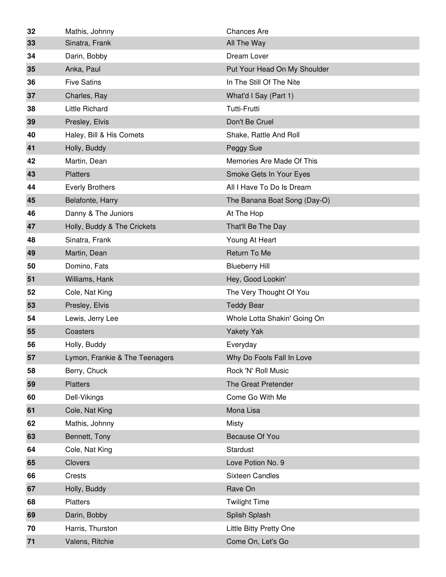| 32 | Mathis, Johnny                 | <b>Chances Are</b>           |
|----|--------------------------------|------------------------------|
| 33 | Sinatra, Frank                 | All The Way                  |
| 34 | Darin, Bobby                   | Dream Lover                  |
| 35 | Anka, Paul                     | Put Your Head On My Shoulder |
| 36 | <b>Five Satins</b>             | In The Still Of The Nite     |
| 37 | Charles, Ray                   | What'd I Say (Part 1)        |
| 38 | <b>Little Richard</b>          | <b>Tutti-Frutti</b>          |
| 39 | Presley, Elvis                 | Don't Be Cruel               |
| 40 | Haley, Bill & His Comets       | Shake, Rattle And Roll       |
| 41 | Holly, Buddy                   | Peggy Sue                    |
| 42 | Martin, Dean                   | Memories Are Made Of This    |
| 43 | <b>Platters</b>                | Smoke Gets In Your Eyes      |
| 44 | <b>Everly Brothers</b>         | All I Have To Do Is Dream    |
| 45 | Belafonte, Harry               | The Banana Boat Song (Day-O) |
| 46 | Danny & The Juniors            | At The Hop                   |
| 47 | Holly, Buddy & The Crickets    | That'll Be The Day           |
| 48 | Sinatra, Frank                 | Young At Heart               |
| 49 | Martin, Dean                   | Return To Me                 |
| 50 | Domino, Fats                   | <b>Blueberry Hill</b>        |
| 51 | Williams, Hank                 | Hey, Good Lookin'            |
| 52 | Cole, Nat King                 | The Very Thought Of You      |
| 53 | Presley, Elvis                 | <b>Teddy Bear</b>            |
| 54 | Lewis, Jerry Lee               | Whole Lotta Shakin' Going On |
| 55 | Coasters                       | <b>Yakety Yak</b>            |
| 56 | Holly, Buddy                   | Everyday                     |
| 57 | Lymon, Frankie & The Teenagers | Why Do Fools Fall In Love    |
| 58 | Berry, Chuck                   | Rock 'N' Roll Music          |
| 59 | <b>Platters</b>                | The Great Pretender          |
| 60 | Dell-Vikings                   | Come Go With Me              |
| 61 | Cole, Nat King                 | Mona Lisa                    |
| 62 | Mathis, Johnny                 | <b>Misty</b>                 |
| 63 | Bennett, Tony                  | Because Of You               |
| 64 | Cole, Nat King                 | Stardust                     |
| 65 | Clovers                        | Love Potion No. 9            |
| 66 | Crests                         | <b>Sixteen Candles</b>       |
| 67 | Holly, Buddy                   | Rave On                      |
| 68 | Platters                       | <b>Twilight Time</b>         |
| 69 | Darin, Bobby                   | Splish Splash                |
| 70 | Harris, Thurston               | Little Bitty Pretty One      |
| 71 | Valens, Ritchie                | Come On, Let's Go            |